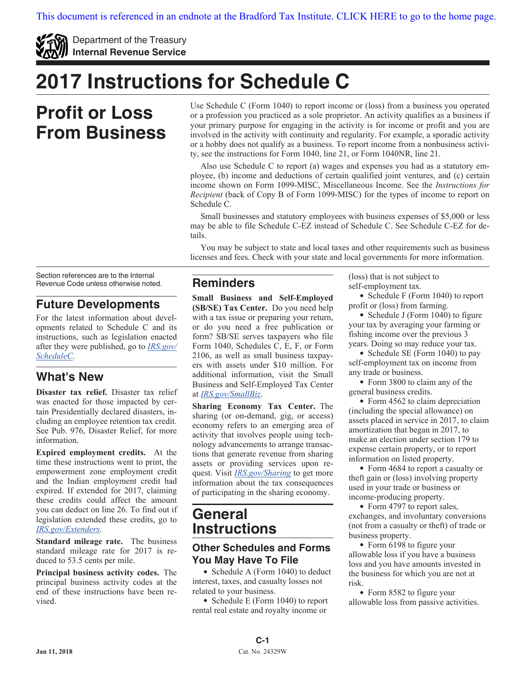

Department of the Treasury **Internal Revenue Service**

# **2017 Instructions for Schedule C**

# **Profit or Loss From Business**

Use Schedule C (Form 1040) to report income or (loss) from a business you operated or a profession you practiced as a sole proprietor. An activity qualifies as a business if your primary purpose for engaging in the activity is for income or profit and you are involved in the activity with continuity and regularity. For example, a sporadic activity or a hobby does not qualify as a business. To report income from a nonbusiness activity, see the instructions for Form 1040, line 21, or Form 1040NR, line 21.

Also use Schedule C to report (a) wages and expenses you had as a statutory employee, (b) income and deductions of certain qualified joint ventures, and (c) certain income shown on Form 1099-MISC, Miscellaneous Income. See the *Instructions for Recipient* (back of Copy B of Form 1099-MISC) for the types of income to report on Schedule C.

Small businesses and statutory employees with business expenses of \$5,000 or less may be able to file Schedule C-EZ instead of Schedule C. See Schedule C-EZ for details.

You may be subject to state and local taxes and other requirements such as business licenses and fees. Check with your state and local governments for more information.

### **Reminders**

**Small Business and Self-Employed (SB/SE) Tax Center.** Do you need help with a tax issue or preparing your return, or do you need a free publication or form? SB/SE serves taxpayers who file Form 1040, Schedules C, E, F, or Form 2106, as well as small business taxpayers with assets under \$10 million. For additional information, visit the Small Business and Self-Employed Tax Center at *[IRS.gov/SmallBiz](https://www.irs.gov/SmallBiz)*.

**Sharing Economy Tax Center.** The sharing (or on-demand, gig, or access) economy refers to an emerging area of activity that involves people using technology advancements to arrange transactions that generate revenue from sharing assets or providing services upon request. Visit *[IRS.gov/Sharing](https://www.irs.gov/sharing)* to get more information about the tax consequences of participating in the sharing economy.

# **General Instructions**

#### **Other Schedules and Forms You May Have To File**

• Schedule A (Form 1040) to deduct interest, taxes, and casualty losses not related to your business.

• Schedule E (Form 1040) to report rental real estate and royalty income or

(loss) that is not subject to self-employment tax.

• Schedule F (Form 1040) to report profit or (loss) from farming.

• Schedule J (Form 1040) to figure your tax by averaging your farming or fishing income over the previous 3 years. Doing so may reduce your tax.

• Schedule SE (Form 1040) to pay self-employment tax on income from any trade or business.

• Form 3800 to claim any of the general business credits.

• Form 4562 to claim depreciation (including the special allowance) on assets placed in service in 2017, to claim amortization that began in 2017, to make an election under section 179 to expense certain property, or to report information on listed property.

• Form 4684 to report a casualty or theft gain or (loss) involving property used in your trade or business or income-producing property.

• Form 4797 to report sales, exchanges, and involuntary conversions (not from a casualty or theft) of trade or business property.

• Form 6198 to figure your allowable loss if you have a business loss and you have amounts invested in the business for which you are not at risk.

• Form 8582 to figure your allowable loss from passive activities.

Section references are to the Internal Revenue Code unless otherwise noted.

### **Future Developments**

For the latest information about developments related to Schedule C and its instructions, such as legislation enacted after they were published, go to *[IRS.gov/](https://www.irs.gov/schedulec) [ScheduleC](https://www.irs.gov/schedulec)*.

### **What's New**

**Disaster tax relief.** Disaster tax relief was enacted for those impacted by certain Presidentially declared disasters, including an employee retention tax credit. See Pub. 976, Disaster Relief, for more information.

**Expired employment credits.** At the time these instructions went to print, the empowerment zone employment credit and the Indian employment credit had expired. If extended for 2017, claiming these credits could affect the amount you can deduct on line 26. To find out if legislation extended these credits, go to *[IRS.gov/Extenders](https://www.IRS.gov/Extenders)*.

**Standard mileage rate.** The business standard mileage rate for 2017 is reduced to 53.5 cents per mile.

**Principal business activity codes.** The principal business activity codes at the end of these instructions have been revised.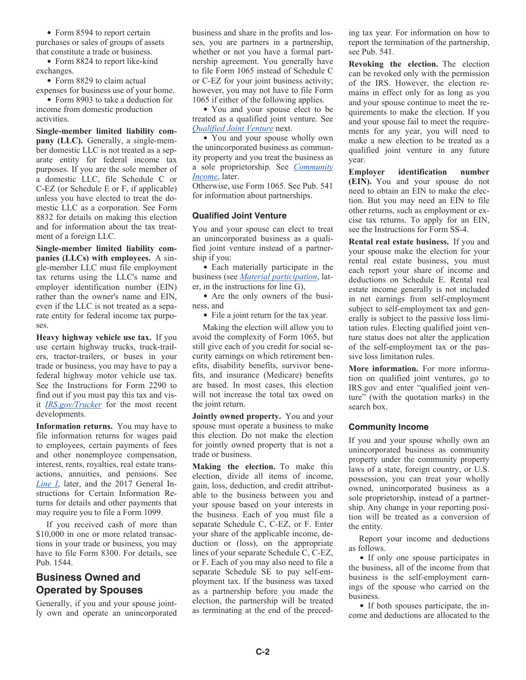<span id="page-1-0"></span>• Form 8594 to report certain purchases or sales of groups of assets that constitute a trade or business.

Form 8824 to report like-kind exchanges.

Form 8829 to claim actual expenses for business use of your home.

Form 8903 to take a deduction for income from domestic production activities.

**Single-member limited liability company (LLC).** Generally, a single-member domestic LLC is not treated as a separate entity for federal income tax purposes. If you are the sole member of a domestic LLC, file Schedule C or C-EZ (or Schedule E or F, if applicable) unless you have elected to treat the domestic LLC as a corporation. See Form 8832 for details on making this election and for information about the tax treatment of a foreign LLC.

**Single-member limited liability companies (LLCs) with employees.** A single-member LLC must file employment tax returns using the LLC's name and employer identification number (EIN) rather than the owner's name and EIN, even if the LLC is not treated as a separate entity for federal income tax purposes.

**Heavy highway vehicle use tax.** If you use certain highway trucks, truck-trailers, tractor-trailers, or buses in your trade or business, you may have to pay a federal highway motor vehicle use tax. See the Instructions for Form 2290 to find out if you must pay this tax and visit *[IRS.gov/Trucker](https://www.irs.gov/trucker)* for the most recent developments.

**Information returns.** You may have to file information returns for wages paid to employees, certain payments of fees and other nonemployee compensation, interest, rents, royalties, real estate transactions, annuities, and pensions. See *[Line I](#page-4-0)*, later, and the 2017 General Instructions for Certain Information Returns for details and other payments that may require you to file a Form 1099.

If you received cash of more than \$10,000 in one or more related transactions in your trade or business, you may have to file Form 8300. For details, see Pub. 1544.

#### **Business Owned and Operated by Spouses**

Generally, if you and your spouse jointly own and operate an unincorporated business and share in the profits and losses, you are partners in a partnership, whether or not you have a formal partnership agreement. You generally have to file Form 1065 instead of Schedule C or C-EZ for your joint business activity; however, you may not have to file Form 1065 if either of the following applies.

You and your spouse elect to be treated as a qualified joint venture. See *Qualified Joint Venture* next.

You and your spouse wholly own the unincorporated business as community property and you treat the business as a sole proprietorship. See *Community Income*, later.

Otherwise, use Form 1065. See Pub. 541 for information about partnerships.

#### **Qualified Joint Venture**

You and your spouse can elect to treat an unincorporated business as a qualified joint venture instead of a partnership if you:

• Each materially participate in the business (see *[Material participation](#page-3-0)*, later, in the instructions for line G),

• Are the only owners of the business, and

• File a joint return for the tax year.

Making the election will allow you to avoid the complexity of Form 1065, but still give each of you credit for social security earnings on which retirement benefits, disability benefits, survivor benefits, and insurance (Medicare) benefits are based. In most cases, this election will not increase the total tax owed on the joint return.

**Jointly owned property.** You and your spouse must operate a business to make this election. Do not make the election for jointly owned property that is not a trade or business.

**Making the election.** To make this election, divide all items of income, gain, loss, deduction, and credit attributable to the business between you and your spouse based on your interests in the business. Each of you must file a separate Schedule C, C-EZ, or F. Enter your share of the applicable income, deduction or (loss), on the appropriate lines of your separate Schedule C, C-EZ, or F. Each of you may also need to file a separate Schedule SE to pay self-employment tax. If the business was taxed as a partnership before you made the election, the partnership will be treated as terminating at the end of the preceding tax year. For information on how to report the termination of the partnership, see Pub. 541.

**Revoking the election.** The election can be revoked only with the permission of the IRS. However, the election remains in effect only for as long as you and your spouse continue to meet the requirements to make the election. If you and your spouse fail to meet the requirements for any year, you will need to make a new election to be treated as a qualified joint venture in any future year.

**Employer identification number (EIN).** You and your spouse do not need to obtain an EIN to make the election. But you may need an EIN to file other returns, such as employment or excise tax returns. To apply for an EIN, see the Instructions for Form SS-4.

**Rental real estate business.** If you and your spouse make the election for your rental real estate business, you must each report your share of income and deductions on Schedule E. Rental real estate income generally is not included in net earnings from self-employment subject to self-employment tax and generally is subject to the passive loss limitation rules. Electing qualified joint venture status does not alter the application of the self-employment tax or the passive loss limitation rules.

**More information.** For more information on qualified joint ventures, go to IRS.gov and enter "qualified joint venture" (with the quotation marks) in the search box.

#### **Community Income**

If you and your spouse wholly own an unincorporated business as community property under the community property laws of a state, foreign country, or U.S. possession, you can treat your wholly owned, unincorporated business as a sole proprietorship, instead of a partnership. Any change in your reporting position will be treated as a conversion of the entity.

Report your income and deductions as follows.

• If only one spouse participates in the business, all of the income from that business is the self-employment earnings of the spouse who carried on the business.

• If both spouses participate, the income and deductions are allocated to the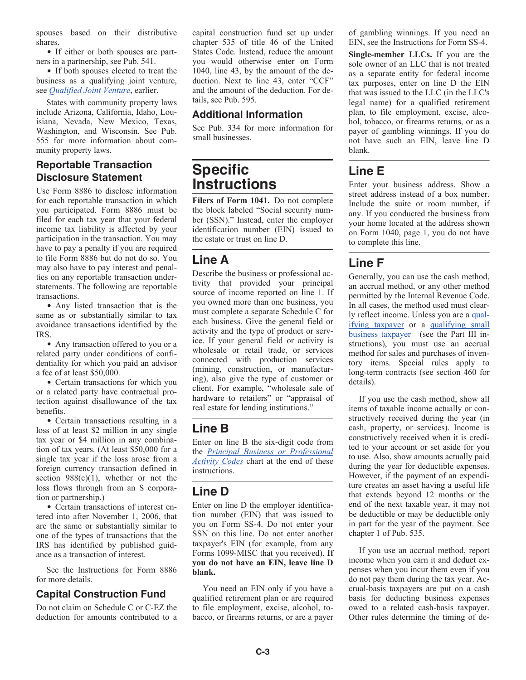spouses based on their distributive shares.

• If either or both spouses are partners in a partnership, see Pub. 541.

• If both spouses elected to treat the business as a qualifying joint venture, see *[Qualified Joint Venture](#page-1-0)*, earlier.

States with community property laws include Arizona, California, Idaho, Louisiana, Nevada, New Mexico, Texas, Washington, and Wisconsin. See Pub. 555 for more information about community property laws.

#### **Reportable Transaction Disclosure Statement**

Use Form 8886 to disclose information for each reportable transaction in which you participated. Form 8886 must be filed for each tax year that your federal income tax liability is affected by your participation in the transaction. You may have to pay a penalty if you are required to file Form 8886 but do not do so. You may also have to pay interest and penalties on any reportable transaction understatements. The following are reportable transactions.

Any listed transaction that is the same as or substantially similar to tax avoidance transactions identified by the IRS.

• Any transaction offered to you or a related party under conditions of confidentiality for which you paid an advisor a fee of at least \$50,000.

• Certain transactions for which you or a related party have contractual protection against disallowance of the tax benefits.

• Certain transactions resulting in a loss of at least \$2 million in any single tax year or \$4 million in any combination of tax years. (At least \$50,000 for a single tax year if the loss arose from a foreign currency transaction defined in section  $988(c)(1)$ , whether or not the loss flows through from an S corporation or partnership.)

• Certain transactions of interest entered into after November 1, 2006, that are the same or substantially similar to one of the types of transactions that the IRS has identified by published guidance as a transaction of interest.

See the Instructions for Form 8886 for more details.

#### **Capital Construction Fund**

Do not claim on Schedule C or C-EZ the deduction for amounts contributed to a capital construction fund set up under chapter 535 of title 46 of the United States Code. Instead, reduce the amount you would otherwise enter on Form 1040, line 43, by the amount of the deduction. Next to line 43, enter "CCF" and the amount of the deduction. For details, see Pub. 595.

#### **Additional Information**

See Pub. 334 for more information for small businesses.

# **Specific Instructions**

**Filers of Form 1041.** Do not complete the block labeled "Social security number (SSN)." Instead, enter the employer identification number (EIN) issued to the estate or trust on line D.

#### **Line A**

Describe the business or professional activity that provided your principal source of income reported on line 1. If you owned more than one business, you must complete a separate Schedule C for each business. Give the general field or activity and the type of product or service. If your general field or activity is wholesale or retail trade, or services connected with production services (mining, construction, or manufacturing), also give the type of customer or client. For example, "wholesale sale of hardware to retailers" or "appraisal of real estate for lending institutions."

### **Line B**

Enter on line B the six-digit code from the *[Principal Business or Professional](#page-16-0) [Activity Codes](#page-16-0)* chart at the end of these instructions.

#### **Line D**

Enter on line D the employer identification number (EIN) that was issued to you on Form SS-4. Do not enter your SSN on this line. Do not enter another taxpayer's EIN (for example, from any Forms 1099-MISC that you received). **If you do not have an EIN, leave line D blank.**

You need an EIN only if you have a qualified retirement plan or are required to file employment, excise, alcohol, tobacco, or firearms returns, or are a payer

of gambling winnings. If you need an EIN, see the Instructions for Form SS-4.

**Single-member LLCs.** If you are the sole owner of an LLC that is not treated as a separate entity for federal income tax purposes, enter on line D the EIN that was issued to the LLC (in the LLC's legal name) for a qualified retirement plan, to file employment, excise, alcohol, tobacco, or firearms returns, or as a payer of gambling winnings. If you do not have such an EIN, leave line D blank.

### **Line E**

Enter your business address. Show a street address instead of a box number. Include the suite or room number, if any. If you conducted the business from your home located at the address shown on Form 1040, page 1, you do not have to complete this line.

### **Line F**

Generally, you can use the cash method, an accrual method, or any other method permitted by the Internal Revenue Code. In all cases, the method used must clearly reflect income. Unless you are a [qual](#page-13-0)[ifying taxpayer](#page-13-0) or a [qualifying small](#page-13-0) [business taxpayer](#page-13-0) (see the Part III instructions), you must use an accrual method for sales and purchases of inventory items. Special rules apply to long-term contracts (see section 460 for details).

If you use the cash method, show all items of taxable income actually or constructively received during the year (in cash, property, or services). Income is constructively received when it is credited to your account or set aside for you to use. Also, show amounts actually paid during the year for deductible expenses. However, if the payment of an expenditure creates an asset having a useful life that extends beyond 12 months or the end of the next taxable year, it may not be deductible or may be deductible only in part for the year of the payment. See chapter 1 of Pub. 535.

If you use an accrual method, report income when you earn it and deduct expenses when you incur them even if you do not pay them during the tax year. Accrual-basis taxpayers are put on a cash basis for deducting business expenses owed to a related cash-basis taxpayer. Other rules determine the timing of de-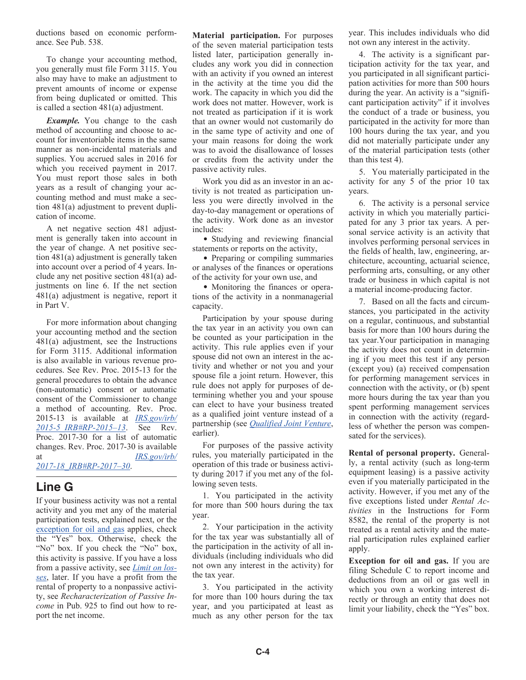<span id="page-3-0"></span>ductions based on economic performance. See Pub. 538.

To change your accounting method, you generally must file Form 3115. You also may have to make an adjustment to prevent amounts of income or expense from being duplicated or omitted. This is called a section 481(a) adjustment.

*Example.* You change to the cash method of accounting and choose to account for inventoriable items in the same manner as non-incidental materials and supplies. You accrued sales in 2016 for which you received payment in 2017. You must report those sales in both years as a result of changing your accounting method and must make a section 481(a) adjustment to prevent duplication of income.

A net negative section 481 adjustment is generally taken into account in the year of change. A net positive section 481(a) adjustment is generally taken into account over a period of 4 years. Include any net positive section 481(a) adjustments on line 6. If the net section 481(a) adjustment is negative, report it in Part V.

For more information about changing your accounting method and the section 481(a) adjustment, see the Instructions for Form 3115. Additional information is also available in various revenue procedures. See Rev. Proc. 2015-13 for the general procedures to obtain the advance (non-automatic) consent or automatic consent of the Commissioner to change a method of accounting. Rev. Proc. 2015-13 is available at *[IRS.gov/irb/](https://www.irs.gov/irb/2015-5_IRB#RP-2015-13) [2015-5\\_IRB#RP-2015–13](https://www.irs.gov/irb/2015-5_IRB#RP-2015-13)*. See Rev. Proc. 2017-30 for a list of automatic changes. Rev. Proc. 2017-30 is available at *[IRS.gov/irb/](https://www.irs.gov/irb/2017-18_IRB#RP-2017-30) [2017-18\\_IRB#RP-2017–30](https://www.irs.gov/irb/2017-18_IRB#RP-2017-30)*.

### **Line G**

If your business activity was not a rental activity and you met any of the material participation tests, explained next, or the exception for oil and gas applies, check the "Yes" box. Otherwise, check the "No" box. If you check the "No" box, this activity is passive. If you have a loss from a passive activity, see *[Limit on los](#page-4-0)[ses](#page-4-0)*, later. If you have a profit from the rental of property to a nonpassive activity, see *Recharacterization of Passive Income* in Pub. 925 to find out how to report the net income.

**Material participation.** For purposes of the seven material participation tests listed later, participation generally includes any work you did in connection with an activity if you owned an interest in the activity at the time you did the work. The capacity in which you did the work does not matter. However, work is not treated as participation if it is work that an owner would not customarily do in the same type of activity and one of your main reasons for doing the work was to avoid the disallowance of losses or credits from the activity under the passive activity rules.

Work you did as an investor in an activity is not treated as participation unless you were directly involved in the day-to-day management or operations of the activity. Work done as an investor includes:

• Studying and reviewing financial statements or reports on the activity,

• Preparing or compiling summaries or analyses of the finances or operations of the activity for your own use, and

• Monitoring the finances or operations of the activity in a nonmanagerial capacity.

Participation by your spouse during the tax year in an activity you own can be counted as your participation in the activity. This rule applies even if your spouse did not own an interest in the activity and whether or not you and your spouse file a joint return. However, this rule does not apply for purposes of determining whether you and your spouse can elect to have your business treated as a qualified joint venture instead of a partnership (see *[Qualified Joint Venture](#page-1-0)*, earlier).

For purposes of the passive activity rules, you materially participated in the operation of this trade or business activity during 2017 if you met any of the following seven tests.

1. You participated in the activity for more than 500 hours during the tax year.

2. Your participation in the activity for the tax year was substantially all of the participation in the activity of all individuals (including individuals who did not own any interest in the activity) for the tax year.

3. You participated in the activity for more than 100 hours during the tax year, and you participated at least as much as any other person for the tax

year. This includes individuals who did not own any interest in the activity.

4. The activity is a significant participation activity for the tax year, and you participated in all significant participation activities for more than 500 hours during the year. An activity is a "significant participation activity" if it involves the conduct of a trade or business, you participated in the activity for more than 100 hours during the tax year, and you did not materially participate under any of the material participation tests (other than this test 4).

5. You materially participated in the activity for any 5 of the prior 10 tax years.

6. The activity is a personal service activity in which you materially participated for any 3 prior tax years. A personal service activity is an activity that involves performing personal services in the fields of health, law, engineering, architecture, accounting, actuarial science, performing arts, consulting, or any other trade or business in which capital is not a material income-producing factor.

7. Based on all the facts and circumstances, you participated in the activity on a regular, continuous, and substantial basis for more than 100 hours during the tax year.Your participation in managing the activity does not count in determining if you meet this test if any person (except you) (a) received compensation for performing management services in connection with the activity, or (b) spent more hours during the tax year than you spent performing management services in connection with the activity (regardless of whether the person was compensated for the services).

**Rental of personal property.** Generally, a rental activity (such as long-term equipment leasing) is a passive activity even if you materially participated in the activity. However, if you met any of the five exceptions listed under *Rental Activities* in the Instructions for Form 8582, the rental of the property is not treated as a rental activity and the material participation rules explained earlier apply.

**Exception for oil and gas.** If you are filing Schedule C to report income and deductions from an oil or gas well in which you own a working interest directly or through an entity that does not limit your liability, check the "Yes" box.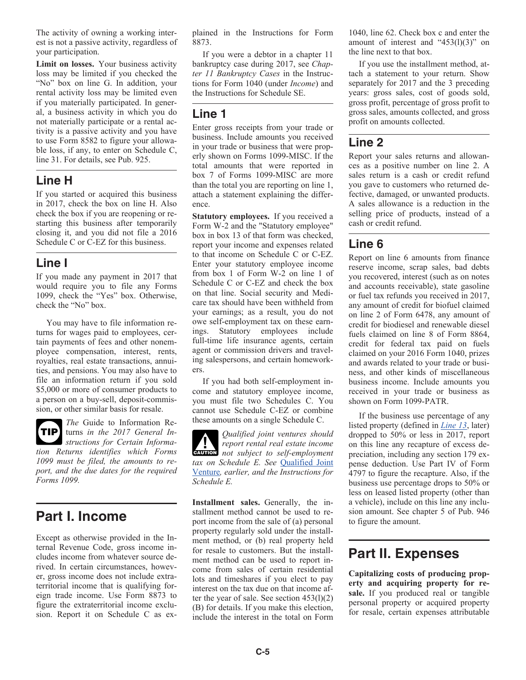<span id="page-4-0"></span>The activity of owning a working interest is not a passive activity, regardless of your participation.

**Limit on losses.** Your business activity loss may be limited if you checked the "No" box on line G. In addition, your rental activity loss may be limited even if you materially participated. In general, a business activity in which you do not materially participate or a rental activity is a passive activity and you have to use Form 8582 to figure your allowable loss, if any, to enter on Schedule C, line 31. For details, see Pub. 925.

#### **Line H**

If you started or acquired this business in 2017, check the box on line H. Also check the box if you are reopening or restarting this business after temporarily closing it, and you did not file a 2016 Schedule C or C-EZ for this business.

#### **Line I**

If you made any payment in 2017 that would require you to file any Forms 1099, check the "Yes" box. Otherwise, check the "No" box.

You may have to file information returns for wages paid to employees, certain payments of fees and other nonemployee compensation, interest, rents, royalties, real estate transactions, annuities, and pensions. You may also have to file an information return if you sold \$5,000 or more of consumer products to a person on a buy-sell, deposit-commission, or other similar basis for resale.

**TIP**

*Forms 1099.*

*The Guide to Information Re*turns *in the 2017 General Instructions for Certain Information Returns identifies which Forms 1099 must be filed, the amounts to report, and the due dates for the required* 

# **Part I. Income**

Except as otherwise provided in the Internal Revenue Code, gross income includes income from whatever source derived. In certain circumstances, however, gross income does not include extraterritorial income that is qualifying foreign trade income. Use Form 8873 to figure the extraterritorial income exclusion. Report it on Schedule C as explained in the Instructions for Form 8873.

If you were a debtor in a chapter 11 bankruptcy case during 2017, see *Chapter 11 Bankruptcy Cases* in the Instructions for Form 1040 (under *Income*) and the Instructions for Schedule SE.

#### **Line 1**

Enter gross receipts from your trade or business. Include amounts you received in your trade or business that were properly shown on Forms 1099-MISC. If the total amounts that were reported in box 7 of Forms 1099-MISC are more than the total you are reporting on line 1, attach a statement explaining the difference.

**Statutory employees.** If you received a Form W-2 and the "Statutory employee" box in box 13 of that form was checked, report your income and expenses related to that income on Schedule C or C-EZ. Enter your statutory employee income from box 1 of Form W-2 on line 1 of Schedule C or C-EZ and check the box on that line. Social security and Medicare tax should have been withheld from your earnings; as a result, you do not owe self-employment tax on these earnings. Statutory employees include full-time life insurance agents, certain agent or commission drivers and traveling salespersons, and certain homeworkers.

If you had both self-employment income and statutory employee income, you must file two Schedules C. You cannot use Schedule C-EZ or combine these amounts on a single Schedule C.

*Qualified joint ventures should report rental real estate income*  **PERIMPTED SUBJECT TO SEE THE SUBJECT TO SEE THE SUBJECT TO SEE THE PROPERTY OF SUBJECT TO SEE THE SUBJECT TO SEE THE SUBJECT TO SEE THE SUBJECT TO SEE THE SUBJECT TO SEE THE SUBJECT TO SEE THE SUBJECT TO SEE THE SUBJECT T** *tax on Schedule E. See* [Qualified Joint](#page-1-0) [Venture](#page-1-0)*, earlier, and the Instructions for Schedule E.*

**Installment sales.** Generally, the installment method cannot be used to report income from the sale of (a) personal property regularly sold under the installment method, or (b) real property held for resale to customers. But the installment method can be used to report income from sales of certain residential lots and timeshares if you elect to pay interest on the tax due on that income after the year of sale. See section  $453(1)(2)$ (B) for details. If you make this election, include the interest in the total on Form

1040, line 62. Check box c and enter the amount of interest and " $453(1)(3)$ " on the line next to that box.

If you use the installment method, attach a statement to your return. Show separately for 2017 and the 3 preceding years: gross sales, cost of goods sold, gross profit, percentage of gross profit to gross sales, amounts collected, and gross profit on amounts collected.

### **Line 2**

Report your sales returns and allowances as a positive number on line 2. A sales return is a cash or credit refund you gave to customers who returned defective, damaged, or unwanted products. A sales allowance is a reduction in the selling price of products, instead of a cash or credit refund.

### **Line 6**

Report on line 6 amounts from finance reserve income, scrap sales, bad debts you recovered, interest (such as on notes and accounts receivable), state gasoline or fuel tax refunds you received in 2017, any amount of credit for biofuel claimed on line 2 of Form 6478, any amount of credit for biodiesel and renewable diesel fuels claimed on line 8 of Form 8864, credit for federal tax paid on fuels claimed on your 2016 Form 1040, prizes and awards related to your trade or business, and other kinds of miscellaneous business income. Include amounts you received in your trade or business as shown on Form 1099-PATR.

If the business use percentage of any listed property (defined in *[Line 13](#page-5-0)*, later) dropped to 50% or less in 2017, report on this line any recapture of excess depreciation, including any section 179 expense deduction. Use Part IV of Form 4797 to figure the recapture. Also, if the business use percentage drops to 50% or less on leased listed property (other than a vehicle), include on this line any inclusion amount. See chapter 5 of Pub. 946 to figure the amount.

# **Part II. Expenses**

**Capitalizing costs of producing property and acquiring property for resale.** If you produced real or tangible personal property or acquired property for resale, certain expenses attributable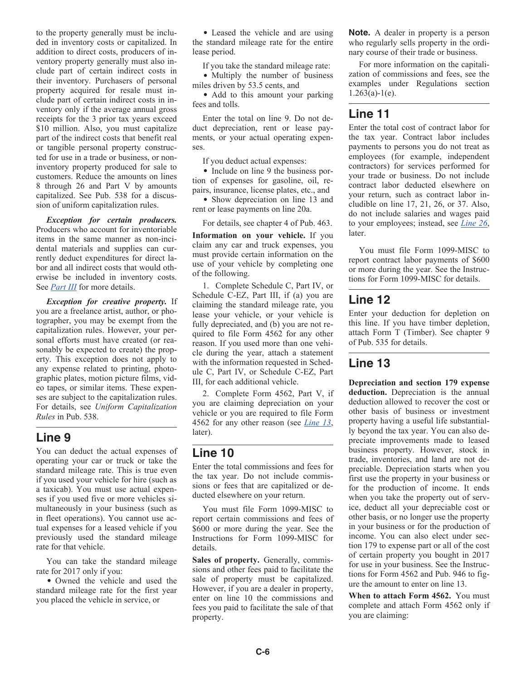<span id="page-5-0"></span>to the property generally must be included in inventory costs or capitalized. In addition to direct costs, producers of inventory property generally must also include part of certain indirect costs in their inventory. Purchasers of personal property acquired for resale must include part of certain indirect costs in inventory only if the average annual gross receipts for the 3 prior tax years exceed \$10 million. Also, you must capitalize part of the indirect costs that benefit real or tangible personal property constructed for use in a trade or business, or noninventory property produced for sale to customers. Reduce the amounts on lines 8 through 26 and Part V by amounts capitalized. See Pub. 538 for a discussion of uniform capitalization rules.

*Exception for certain producers.*  Producers who account for inventoriable items in the same manner as non-incidental materials and supplies can currently deduct expenditures for direct labor and all indirect costs that would otherwise be included in inventory costs. See *[Part III](#page-13-0)* for more details.

*Exception for creative property.* If you are a freelance artist, author, or photographer, you may be exempt from the capitalization rules. However, your personal efforts must have created (or reasonably be expected to create) the property. This exception does not apply to any expense related to printing, photographic plates, motion picture films, video tapes, or similar items. These expenses are subject to the capitalization rules. For details, see *Uniform Capitalization Rules* in Pub. 538.

### **Line 9**

You can deduct the actual expenses of operating your car or truck or take the standard mileage rate. This is true even if you used your vehicle for hire (such as a taxicab). You must use actual expenses if you used five or more vehicles simultaneously in your business (such as in fleet operations). You cannot use actual expenses for a leased vehicle if you previously used the standard mileage rate for that vehicle.

You can take the standard mileage rate for 2017 only if you:

Owned the vehicle and used the standard mileage rate for the first year you placed the vehicle in service, or

Leased the vehicle and are using the standard mileage rate for the entire lease period.

If you take the standard mileage rate:

• Multiply the number of business miles driven by 53.5 cents, and

• Add to this amount your parking fees and tolls.

Enter the total on line 9. Do not deduct depreciation, rent or lease payments, or your actual operating expenses.

If you deduct actual expenses:

• Include on line 9 the business portion of expenses for gasoline, oil, repairs, insurance, license plates, etc., and

• Show depreciation on line 13 and rent or lease payments on line 20a.

For details, see chapter 4 of Pub. 463.

**Information on your vehicle.** If you claim any car and truck expenses, you must provide certain information on the use of your vehicle by completing one of the following.

1. Complete Schedule C, Part IV, or Schedule C-EZ, Part III, if (a) you are claiming the standard mileage rate, you lease your vehicle, or your vehicle is fully depreciated, and (b) you are not required to file Form 4562 for any other reason. If you used more than one vehicle during the year, attach a statement with the information requested in Schedule C, Part IV, or Schedule C-EZ, Part III, for each additional vehicle.

2. Complete Form 4562, Part V, if you are claiming depreciation on your vehicle or you are required to file Form 4562 for any other reason (see *Line 13*, later).

### **Line 10**

Enter the total commissions and fees for the tax year. Do not include commissions or fees that are capitalized or deducted elsewhere on your return.

You must file Form 1099-MISC to report certain commissions and fees of \$600 or more during the year. See the Instructions for Form 1099-MISC for details.

Sales of property. Generally, commissions and other fees paid to facilitate the sale of property must be capitalized. However, if you are a dealer in property, enter on line 10 the commissions and fees you paid to facilitate the sale of that property.

**Note.** A dealer in property is a person who regularly sells property in the ordinary course of their trade or business.

For more information on the capitalization of commissions and fees, see the examples under Regulations section  $1.263(a)-1(e)$ .

#### **Line 11**

Enter the total cost of contract labor for the tax year. Contract labor includes payments to persons you do not treat as employees (for example, independent contractors) for services performed for your trade or business. Do not include contract labor deducted elsewhere on your return, such as contract labor includible on line 17, 21, 26, or 37. Also, do not include salaries and wages paid to your employees; instead, see *[Line 26](#page-8-0)*, later.

You must file Form 1099-MISC to report contract labor payments of \$600 or more during the year. See the Instructions for Form 1099-MISC for details.

### **Line 12**

Enter your deduction for depletion on this line. If you have timber depletion, attach Form T (Timber). See chapter 9 of Pub. 535 for details.

## **Line 13**

**Depreciation and section 179 expense deduction.** Depreciation is the annual deduction allowed to recover the cost or other basis of business or investment property having a useful life substantially beyond the tax year. You can also depreciate improvements made to leased business property. However, stock in trade, inventories, and land are not depreciable. Depreciation starts when you first use the property in your business or for the production of income. It ends when you take the property out of service, deduct all your depreciable cost or other basis, or no longer use the property in your business or for the production of income. You can also elect under section 179 to expense part or all of the cost of certain property you bought in 2017 for use in your business. See the Instructions for Form 4562 and Pub. 946 to figure the amount to enter on line 13.

**When to attach Form 4562.** You must complete and attach Form 4562 only if you are claiming: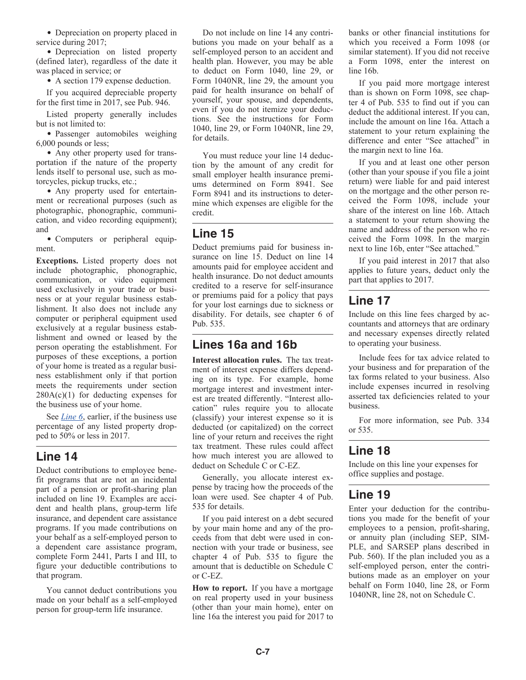Depreciation on property placed in service during 2017;

• Depreciation on listed property (defined later), regardless of the date it was placed in service; or

A section 179 expense deduction.

If you acquired depreciable property for the first time in 2017, see Pub. 946.

Listed property generally includes but is not limited to:

• Passenger automobiles weighing 6,000 pounds or less;

Any other property used for transportation if the nature of the property lends itself to personal use, such as motorcycles, pickup trucks, etc.;

Any property used for entertainment or recreational purposes (such as photographic, phonographic, communication, and video recording equipment); and

Computers or peripheral equipment.

**Exceptions.** Listed property does not include photographic, phonographic, communication, or video equipment used exclusively in your trade or business or at your regular business establishment. It also does not include any computer or peripheral equipment used exclusively at a regular business establishment and owned or leased by the person operating the establishment. For purposes of these exceptions, a portion of your home is treated as a regular business establishment only if that portion meets the requirements under section  $280A(c)(1)$  for deducting expenses for the business use of your home.

See *[Line 6](#page-4-0)*, earlier, if the business use percentage of any listed property dropped to 50% or less in 2017.

#### **Line 14**

Deduct contributions to employee benefit programs that are not an incidental part of a pension or profit-sharing plan included on line 19. Examples are accident and health plans, group-term life insurance, and dependent care assistance programs. If you made contributions on your behalf as a self-employed person to a dependent care assistance program, complete Form 2441, Parts I and III, to figure your deductible contributions to that program.

You cannot deduct contributions you made on your behalf as a self-employed person for group-term life insurance.

Do not include on line 14 any contributions you made on your behalf as a self-employed person to an accident and health plan. However, you may be able to deduct on Form 1040, line 29, or Form 1040NR, line 29, the amount you paid for health insurance on behalf of yourself, your spouse, and dependents, even if you do not itemize your deductions. See the instructions for Form 1040, line 29, or Form 1040NR, line 29, for details.

You must reduce your line 14 deduction by the amount of any credit for small employer health insurance premiums determined on Form 8941. See Form 8941 and its instructions to determine which expenses are eligible for the credit.

#### **Line 15**

Deduct premiums paid for business insurance on line 15. Deduct on line 14 amounts paid for employee accident and health insurance. Do not deduct amounts credited to a reserve for self-insurance or premiums paid for a policy that pays for your lost earnings due to sickness or disability. For details, see chapter 6 of Pub. 535.

#### **Lines 16a and 16b**

**Interest allocation rules.** The tax treatment of interest expense differs depending on its type. For example, home mortgage interest and investment interest are treated differently. "Interest allocation" rules require you to allocate (classify) your interest expense so it is deducted (or capitalized) on the correct line of your return and receives the right tax treatment. These rules could affect how much interest you are allowed to deduct on Schedule C or C-EZ.

Generally, you allocate interest expense by tracing how the proceeds of the loan were used. See chapter 4 of Pub. 535 for details.

If you paid interest on a debt secured by your main home and any of the proceeds from that debt were used in connection with your trade or business, see chapter 4 of Pub. 535 to figure the amount that is deductible on Schedule C or C-EZ.

**How to report.** If you have a mortgage on real property used in your business (other than your main home), enter on line 16a the interest you paid for 2017 to

banks or other financial institutions for which you received a Form 1098 (or similar statement). If you did not receive a Form 1098, enter the interest on line 16b.

If you paid more mortgage interest than is shown on Form 1098, see chapter 4 of Pub. 535 to find out if you can deduct the additional interest. If you can, include the amount on line 16a. Attach a statement to your return explaining the difference and enter "See attached" in the margin next to line 16a.

If you and at least one other person (other than your spouse if you file a joint return) were liable for and paid interest on the mortgage and the other person received the Form 1098, include your share of the interest on line 16b. Attach a statement to your return showing the name and address of the person who received the Form 1098. In the margin next to line 16b, enter "See attached."

If you paid interest in 2017 that also applies to future years, deduct only the part that applies to 2017.

#### **Line 17**

Include on this line fees charged by accountants and attorneys that are ordinary and necessary expenses directly related to operating your business.

Include fees for tax advice related to your business and for preparation of the tax forms related to your business. Also include expenses incurred in resolving asserted tax deficiencies related to your business.

For more information, see Pub. 334 or 535.

#### **Line 18**

Include on this line your expenses for office supplies and postage.

#### **Line 19**

Enter your deduction for the contributions you made for the benefit of your employees to a pension, profit-sharing, or annuity plan (including SEP, SIM-PLE, and SARSEP plans described in Pub. 560). If the plan included you as a self-employed person, enter the contributions made as an employer on your behalf on Form 1040, line 28, or Form 1040NR, line 28, not on Schedule C.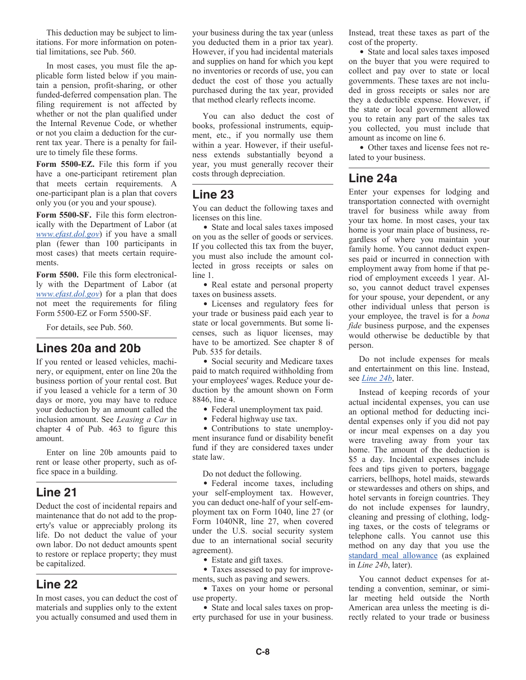This deduction may be subject to limitations. For more information on potential limitations, see Pub. 560.

In most cases, you must file the applicable form listed below if you maintain a pension, profit-sharing, or other funded-deferred compensation plan. The filing requirement is not affected by whether or not the plan qualified under the Internal Revenue Code, or whether or not you claim a deduction for the current tax year. There is a penalty for failure to timely file these forms.

**Form 5500-EZ.** File this form if you have a one-participant retirement plan that meets certain requirements. A one-participant plan is a plan that covers only you (or you and your spouse).

**Form 5500-SF.** File this form electronically with the Department of Labor (at *[www.efast.dol.gov](http://www.efast.dol.gov/welcome.html)*) if you have a small plan (fewer than 100 participants in most cases) that meets certain requirements.

**Form 5500.** File this form electronically with the Department of Labor (at *[www.efast.dol.gov](http://www.efast.dol.gov/welcome.html)*) for a plan that does not meet the requirements for filing Form 5500-EZ or Form 5500-SF.

For details, see Pub. 560.

### **Lines 20a and 20b**

If you rented or leased vehicles, machinery, or equipment, enter on line 20a the business portion of your rental cost. But if you leased a vehicle for a term of 30 days or more, you may have to reduce your deduction by an amount called the inclusion amount. See *Leasing a Car* in chapter 4 of Pub. 463 to figure this amount.

Enter on line 20b amounts paid to rent or lease other property, such as office space in a building.

#### **Line 21**

Deduct the cost of incidental repairs and maintenance that do not add to the property's value or appreciably prolong its life. Do not deduct the value of your own labor. Do not deduct amounts spent to restore or replace property; they must be capitalized.

#### **Line 22**

In most cases, you can deduct the cost of materials and supplies only to the extent you actually consumed and used them in

your business during the tax year (unless you deducted them in a prior tax year). However, if you had incidental materials and supplies on hand for which you kept no inventories or records of use, you can deduct the cost of those you actually purchased during the tax year, provided that method clearly reflects income.

You can also deduct the cost of books, professional instruments, equipment, etc., if you normally use them within a year. However, if their usefulness extends substantially beyond a year, you must generally recover their costs through depreciation.

### **Line 23**

You can deduct the following taxes and licenses on this line.

• State and local sales taxes imposed on you as the seller of goods or services. If you collected this tax from the buyer, you must also include the amount collected in gross receipts or sales on line 1.

• Real estate and personal property taxes on business assets.

Licenses and regulatory fees for your trade or business paid each year to state or local governments. But some licenses, such as liquor licenses, may have to be amortized. See chapter 8 of Pub. 535 for details.

• Social security and Medicare taxes paid to match required withholding from your employees' wages. Reduce your deduction by the amount shown on Form 8846, line 4.

- Federal unemployment tax paid.
- Federal highway use tax.

Contributions to state unemployment insurance fund or disability benefit fund if they are considered taxes under state law.

Do not deduct the following.

• Federal income taxes, including your self-employment tax. However, you can deduct one-half of your self-employment tax on Form 1040, line 27 (or Form 1040NR, line 27, when covered under the U.S. social security system due to an international social security agreement).

• Estate and gift taxes.

Taxes assessed to pay for improvements, such as paving and sewers.

• Taxes on your home or personal use property.

• State and local sales taxes on property purchased for use in your business. Instead, treat these taxes as part of the cost of the property.

• State and local sales taxes imposed on the buyer that you were required to collect and pay over to state or local governments. These taxes are not included in gross receipts or sales nor are they a deductible expense. However, if the state or local government allowed you to retain any part of the sales tax you collected, you must include that amount as income on line 6.

Other taxes and license fees not related to your business.

### **Line 24a**

Enter your expenses for lodging and transportation connected with overnight travel for business while away from your tax home. In most cases, your tax home is your main place of business, regardless of where you maintain your family home. You cannot deduct expenses paid or incurred in connection with employment away from home if that period of employment exceeds 1 year. Also, you cannot deduct travel expenses for your spouse, your dependent, or any other individual unless that person is your employee, the travel is for a *bona fide* business purpose, and the expenses would otherwise be deductible by that person.

Do not include expenses for meals and entertainment on this line. Instead, see *[Line 24b](#page-8-0)*, later.

Instead of keeping records of your actual incidental expenses, you can use an optional method for deducting incidental expenses only if you did not pay or incur meal expenses on a day you were traveling away from your tax home. The amount of the deduction is \$5 a day. Incidental expenses include fees and tips given to porters, baggage carriers, bellhops, hotel maids, stewards or stewardesses and others on ships, and hotel servants in foreign countries. They do not include expenses for laundry, cleaning and pressing of clothing, lodging taxes, or the costs of telegrams or telephone calls. You cannot use this method on any day that you use the [standard meal allowance](#page-8-0) (as explained in *Line 24b*, later).

You cannot deduct expenses for attending a convention, seminar, or similar meeting held outside the North American area unless the meeting is directly related to your trade or business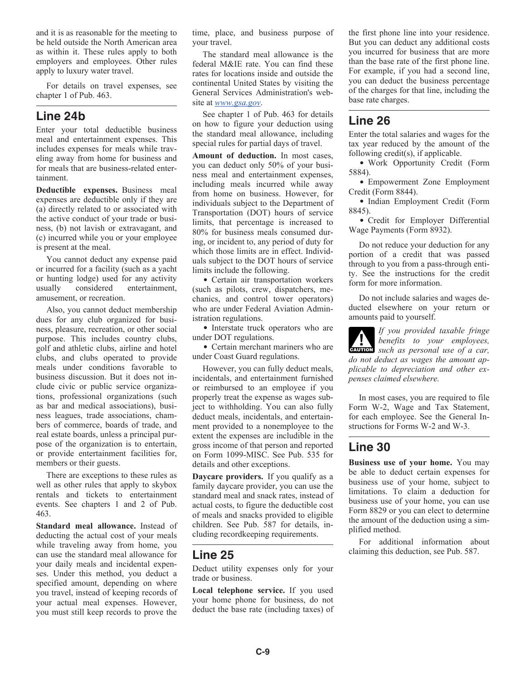<span id="page-8-0"></span>and it is as reasonable for the meeting to be held outside the North American area as within it. These rules apply to both employers and employees. Other rules apply to luxury water travel.

For details on travel expenses, see chapter 1 of Pub. 463.

#### **Line 24b**

Enter your total deductible business meal and entertainment expenses. This includes expenses for meals while traveling away from home for business and for meals that are business-related entertainment.

**Deductible expenses.** Business meal expenses are deductible only if they are (a) directly related to or associated with the active conduct of your trade or business, (b) not lavish or extravagant, and (c) incurred while you or your employee is present at the meal.

You cannot deduct any expense paid or incurred for a facility (such as a yacht or hunting lodge) used for any activity usually considered entertainment, amusement, or recreation.

Also, you cannot deduct membership dues for any club organized for business, pleasure, recreation, or other social purpose. This includes country clubs, golf and athletic clubs, airline and hotel clubs, and clubs operated to provide meals under conditions favorable to business discussion. But it does not include civic or public service organizations, professional organizations (such as bar and medical associations), business leagues, trade associations, chambers of commerce, boards of trade, and real estate boards, unless a principal purpose of the organization is to entertain, or provide entertainment facilities for, members or their guests.

There are exceptions to these rules as well as other rules that apply to skybox rentals and tickets to entertainment events. See chapters 1 and 2 of Pub. 463.

**Standard meal allowance.** Instead of deducting the actual cost of your meals while traveling away from home, you can use the standard meal allowance for your daily meals and incidental expenses. Under this method, you deduct a specified amount, depending on where you travel, instead of keeping records of your actual meal expenses. However, you must still keep records to prove the

time, place, and business purpose of your travel.

The standard meal allowance is the federal M&IE rate. You can find these rates for locations inside and outside the continental United States by visiting the General Services Administration's website at *[www.gsa.gov](http://www.gsa.gov)*.

See chapter 1 of Pub. 463 for details on how to figure your deduction using the standard meal allowance, including special rules for partial days of travel.

**Amount of deduction.** In most cases, you can deduct only 50% of your business meal and entertainment expenses, including meals incurred while away from home on business. However, for individuals subject to the Department of Transportation (DOT) hours of service limits, that percentage is increased to 80% for business meals consumed during, or incident to, any period of duty for which those limits are in effect. Individuals subject to the DOT hours of service limits include the following.

• Certain air transportation workers (such as pilots, crew, dispatchers, mechanics, and control tower operators) who are under Federal Aviation Administration regulations.

• Interstate truck operators who are under DOT regulations.

• Certain merchant mariners who are under Coast Guard regulations.

However, you can fully deduct meals, incidentals, and entertainment furnished or reimbursed to an employee if you properly treat the expense as wages subject to withholding. You can also fully deduct meals, incidentals, and entertainment provided to a nonemployee to the extent the expenses are includible in the gross income of that person and reported on Form 1099-MISC. See Pub. 535 for details and other exceptions.

**Daycare providers.** If you qualify as a family daycare provider, you can use the standard meal and snack rates, instead of actual costs, to figure the deductible cost of meals and snacks provided to eligible children. See Pub. 587 for details, including recordkeeping requirements.

#### **Line 25**

Deduct utility expenses only for your trade or business.

**Local telephone service.** If you used your home phone for business, do not deduct the base rate (including taxes) of the first phone line into your residence. But you can deduct any additional costs you incurred for business that are more than the base rate of the first phone line. For example, if you had a second line, you can deduct the business percentage of the charges for that line, including the base rate charges.

### **Line 26**

Enter the total salaries and wages for the tax year reduced by the amount of the following credit(s), if applicable.

Work Opportunity Credit (Form 5884).

Empowerment Zone Employment Credit (Form 8844).

• Indian Employment Credit (Form 8845).

Credit for Employer Differential Wage Payments (Form 8932).

Do not reduce your deduction for any portion of a credit that was passed through to you from a pass-through entity. See the instructions for the credit form for more information.

Do not include salaries and wages deducted elsewhere on your return or amounts paid to yourself.

*If you provided taxable fringe benefits to your employees,*  **CAUTION** *such as personal use of a car, do not deduct as wages the amount applicable to depreciation and other expenses claimed elsewhere.*

In most cases, you are required to file Form W-2, Wage and Tax Statement, for each employee. See the General Instructions for Forms W-2 and W-3.

### **Line 30**

**Business use of your home.** You may be able to deduct certain expenses for business use of your home, subject to limitations. To claim a deduction for business use of your home, you can use Form 8829 or you can elect to determine the amount of the deduction using a simplified method.

For additional information about claiming this deduction, see Pub. 587.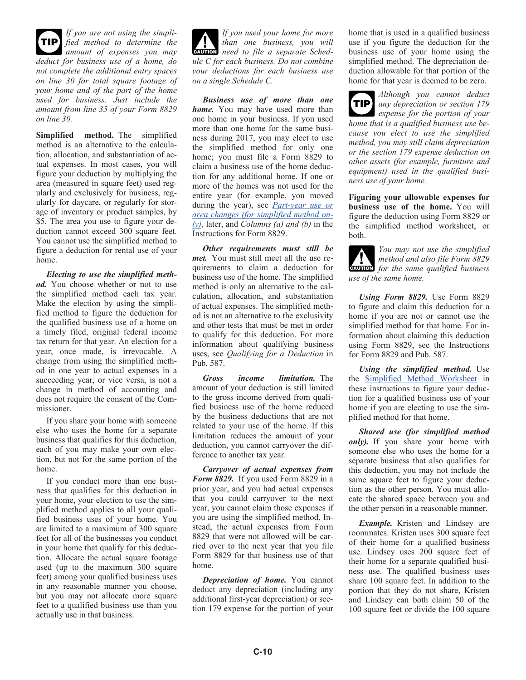<span id="page-9-0"></span>

*If you are not using the simplified method to determine the amount of expenses you may deduct for business use of a home, do not complete the additional entry spaces on line 30 for total square footage of your home and of the part of the home used for business. Just include the amount from line 35 of your Form 8829 on line 30.*

**Simplified method.** The simplified method is an alternative to the calculation, allocation, and substantiation of actual expenses. In most cases, you will figure your deduction by multiplying the area (measured in square feet) used regularly and exclusively for business, regularly for daycare, or regularly for storage of inventory or product samples, by \$5. The area you use to figure your deduction cannot exceed 300 square feet. You cannot use the simplified method to figure a deduction for rental use of your home.

*Electing to use the simplified method.* You choose whether or not to use the simplified method each tax year. Make the election by using the simplified method to figure the deduction for the qualified business use of a home on a timely filed, original federal income tax return for that year. An election for a year, once made, is irrevocable. A change from using the simplified method in one year to actual expenses in a succeeding year, or vice versa, is not a change in method of accounting and does not require the consent of the Commissioner.

If you share your home with someone else who uses the home for a separate business that qualifies for this deduction, each of you may make your own election, but not for the same portion of the home.

If you conduct more than one business that qualifies for this deduction in your home, your election to use the simplified method applies to all your qualified business uses of your home. You are limited to a maximum of 300 square feet for all of the businesses you conduct in your home that qualify for this deduction. Allocate the actual square footage used (up to the maximum 300 square feet) among your qualified business uses in any reasonable manner you choose, but you may not allocate more square feet to a qualified business use than you actually use in that business.

*If you used your home for more than one business, you will*  **CAUTION** *need to file a separate Schedule C for each business. Do not combine your deductions for each business use on a single Schedule C.*

*Business use of more than one home.* You may have used more than one home in your business. If you used more than one home for the same business during 2017, you may elect to use the simplified method for only one home; you must file a Form 8829 to claim a business use of the home deduction for any additional home. If one or more of the homes was not used for the entire year (for example, you moved during the year), see *[Part-year use or](#page-11-0) [area changes \(for simplified method on](#page-11-0)[ly\)](#page-11-0)*, later, and *Columns (a) and (b)* in the Instructions for Form 8829.

*Other requirements must still be met.* You must still meet all the use requirements to claim a deduction for business use of the home. The simplified method is only an alternative to the calculation, allocation, and substantiation of actual expenses. The simplified method is not an alternative to the exclusivity and other tests that must be met in order to qualify for this deduction. For more information about qualifying business uses, see *Qualifying for a Deduction* in Pub. 587.

*Gross income limitation.* The amount of your deduction is still limited to the gross income derived from qualified business use of the home reduced by the business deductions that are not related to your use of the home. If this limitation reduces the amount of your deduction, you cannot carryover the difference to another tax year.

*Carryover of actual expenses from Form 8829.* If you used Form 8829 in a prior year, and you had actual expenses that you could carryover to the next year, you cannot claim those expenses if you are using the simplified method. Instead, the actual expenses from Form 8829 that were not allowed will be carried over to the next year that you file Form 8829 for that business use of that home.

*Depreciation of home.* You cannot deduct any depreciation (including any additional first-year depreciation) or section 179 expense for the portion of your

home that is used in a qualified business use if you figure the deduction for the business use of your home using the simplified method. The depreciation deduction allowable for that portion of the home for that year is deemed to be zero.

*Although you cannot deduct any depreciation or section 179 expense for the portion of your home that is a qualified business use because you elect to use the simplified method, you may still claim depreciation or the section 179 expense deduction on other assets (for example, furniture and equipment) used in the qualified business use of your home.* **TIP**

**Figuring your allowable expenses for business use of the home.** You will figure the deduction using Form 8829 or the simplified method worksheet, or both.



*You may not use the simplified method and also file Form 8829 for the same qualified business for the same qualified business use of the same home.*

*Using Form 8829.* Use Form 8829 to figure and claim this deduction for a home if you are not or cannot use the simplified method for that home. For information about claiming this deduction using Form 8829, see the Instructions for Form 8829 and Pub. 587.

*Using the simplified method.* Use the [Simplified Method Worksheet](#page-10-0) in these instructions to figure your deduction for a qualified business use of your home if you are electing to use the simplified method for that home.

*Shared use (for simplified method only*). If you share your home with someone else who uses the home for a separate business that also qualifies for this deduction, you may not include the same square feet to figure your deduction as the other person. You must allocate the shared space between you and the other person in a reasonable manner.

*Example.* Kristen and Lindsey are roommates. Kristen uses 300 square feet of their home for a qualified business use. Lindsey uses 200 square feet of their home for a separate qualified business use. The qualified business uses share 100 square feet. In addition to the portion that they do not share, Kristen and Lindsey can both claim 50 of the 100 square feet or divide the 100 square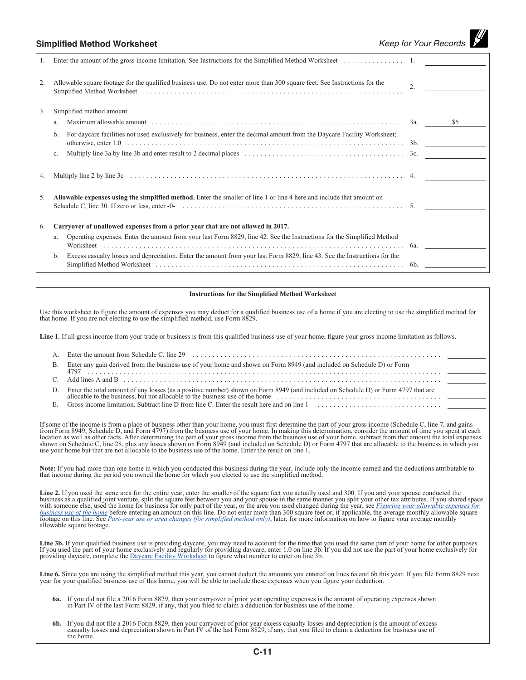#### <span id="page-10-0"></span>**Simplified Method Worksheet** *Keep for Your Records*

| 1. |                                                                                                                                                                                                                                                                                                                                                                                                                                               |     |    |
|----|-----------------------------------------------------------------------------------------------------------------------------------------------------------------------------------------------------------------------------------------------------------------------------------------------------------------------------------------------------------------------------------------------------------------------------------------------|-----|----|
| 2. | Allowable square footage for the qualified business use. Do not enter more than 300 square feet. See Instructions for the                                                                                                                                                                                                                                                                                                                     | 2.  |    |
| 3. | Simplified method amount                                                                                                                                                                                                                                                                                                                                                                                                                      |     |    |
|    | a.                                                                                                                                                                                                                                                                                                                                                                                                                                            |     | S5 |
|    | For daycare facilities not used exclusively for business, enter the decimal amount from the Daycare Facility Worksheet;<br>b.                                                                                                                                                                                                                                                                                                                 |     |    |
|    | $\mathbf{c}$ .                                                                                                                                                                                                                                                                                                                                                                                                                                |     |    |
| 4. |                                                                                                                                                                                                                                                                                                                                                                                                                                               |     |    |
| 5. | Allowable expenses using the simplified method. Enter the smaller of line 1 or line 4 here and include that amount on<br>Schedule C, line 30. If zero or less, enter -0- $\ldots$ $\ldots$ $\ldots$ $\ldots$ $\ldots$ $\ldots$ $\ldots$ $\ldots$ $\ldots$ $\ldots$ $\ldots$ $\ldots$ $\ldots$ $\ldots$ $\ldots$ $\ldots$ $\ldots$ $\ldots$ $\ldots$ $\ldots$ $\ldots$ $\ldots$ $\ldots$ $\ldots$ $\ldots$ $\ldots$ $\ldots$ $\ldots$ $\ldots$ |     |    |
| 6. | Carryover of unallowed expenses from a prior year that are not allowed in 2017.                                                                                                                                                                                                                                                                                                                                                               |     |    |
|    | Operating expenses. Enter the amount from your last Form 8829, line 42. See the Instructions for the Simplified Method<br>a.                                                                                                                                                                                                                                                                                                                  |     | 6a |
|    | Excess casualty losses and depreciation. Enter the amount from your last Form 8829, line 43. See the Instructions for the<br>b.                                                                                                                                                                                                                                                                                                               | 6b. |    |

#### **Instructions for the Simplified Method Worksheet**

Use this worksheet to figure the amount of expenses you may deduct for a qualified business use of a home if you are electing to use the simplified method for<br>that home. If you are not electing to use the simplified method

Line 1. If all gross income from your trade or business is from this qualified business use of your home, figure your gross income limitation as follows.

|    | B. Enter any gain derived from the business use of your home and shown on Form 8949 (and included on Schedule D) or Form                                                                                       |
|----|----------------------------------------------------------------------------------------------------------------------------------------------------------------------------------------------------------------|
|    | C. Add lines A and B $\ldots$ $\ldots$ $\ldots$ $\ldots$ $\ldots$ $\ldots$ $\ldots$ $\ldots$ $\ldots$ $\ldots$ $\ldots$ $\ldots$ $\ldots$ $\ldots$ $\ldots$                                                    |
| D. | Enter the total amount of any losses (as a positive number) shown on Form 8949 (and included on Schedule D) or Form 4797 that are allocable to the business, but not allocable to the business use of the home |
|    |                                                                                                                                                                                                                |

If some of the income is from a place of business other than your home, you must first determine the part of your gross income (Schedule C, line 7, and gains<br>from Form 8949, Schedule D, and Form 4797) from the business use

**Note:** If you had more than one home in which you conducted this business during the year, include only the income earned and the deductions attributable to that income during the period you owned the home for which you elected to use the simplified method.

**Line 2.** If you used the same area for the entire year, enter the smaller of the square feet you actually used and 300. If you and your spouse conducted the<br>business as a qualified joint venture, split the square feet bet footage on this line. See *[Part-year use or area changes \(for simplified method only\)](#page-11-0)*, later, for more information on how to figure your average monthly allowable square footage.

**Line 3b.** If your qualified business use is providing daycare, you may need to account for the time that you used the same part of your home for other purposes. If you used the part of your home exclusively and regularly for providing daycare, enter 1.0 on line 3b. If you did not use the part of your home exclusively for<br>providing daycare, complete the [Daycare Facility Worksheet](#page-11-0) t

Line 6. Since you are using the simplified method this year, you cannot deduct the amounts you entered on lines 6a and 6b this year. If you file Form 8829 next year for your qualified business use of this home, you will be

- 6a. If you did not file a 2016 Form 8829, then your carryover of prior year operating expenses is the amount of operating expenses shown in Part IV of the last Form 8829, if any, that you filed to claim a deduction for bus
- 6b. If you did not file a 2016 Form 8829, then your carryover of prior year excess casualty losses and depreciation is the amount of excess casualty losses and depreciation shown in Part IV of the last Form 8829, if any, t the home.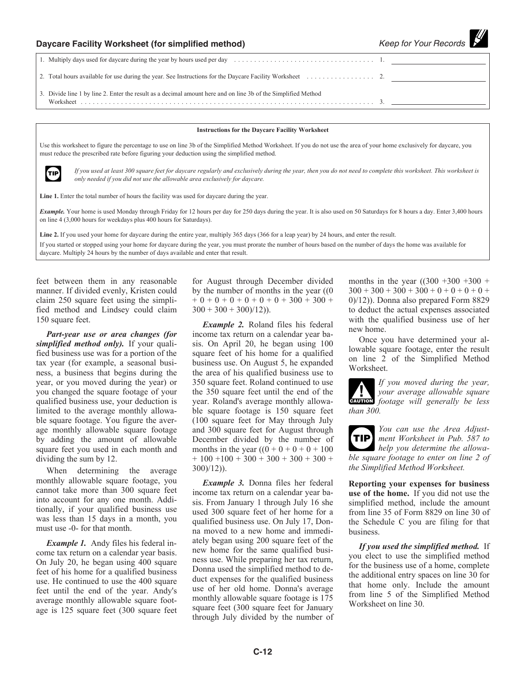<span id="page-11-0"></span>

| 1. Multiply days used for daycare during the year by hours used per day $\ldots \ldots \ldots \ldots \ldots \ldots \ldots \ldots \ldots \ldots$<br>3. Divide line 1 by line 2. Enter the result as a decimal amount here and on line 3b of the Simplified Method | Daycare Facility Worksheet (for simplified method) | Keep for Your Records |
|------------------------------------------------------------------------------------------------------------------------------------------------------------------------------------------------------------------------------------------------------------------|----------------------------------------------------|-----------------------|
|                                                                                                                                                                                                                                                                  |                                                    |                       |
|                                                                                                                                                                                                                                                                  |                                                    |                       |
|                                                                                                                                                                                                                                                                  |                                                    |                       |

#### **Instructions for the Daycare Facility Worksheet**

Use this worksheet to figure the percentage to use on line 3b of the Simplified Method Worksheet. If you do not use the area of your home exclusively for daycare, you must reduce the prescribed rate before figuring your deduction using the simplified method.

**TIP**

*If you used at least 300 square feet for daycare regularly and exclusively during the year, then you do not need to complete this worksheet. This worksheet is only needed if you did not use the allowable area exclusively for daycare.*

**Line 1.** Enter the total number of hours the facility was used for daycare during the year.

*Example.* Your home is used Monday through Friday for 12 hours per day for 250 days during the year. It is also used on 50 Saturdays for 8 hours a day. Enter 3,400 hours on line 4 (3,000 hours for weekdays plus 400 hours for Saturdays).

**Line 2.** If you used your home for daycare during the entire year, multiply 365 days (366 for a leap year) by 24 hours, and enter the result. If you started or stopped using your home for daycare during the year, you must prorate the number of hours based on the number of days the home was available for daycare. Multiply 24 hours by the number of days available and enter that result.

feet between them in any reasonable manner. If divided evenly, Kristen could claim 250 square feet using the simplified method and Lindsey could claim 150 square feet.

*Part-year use or area changes (for simplified method only).* If your qualified business use was for a portion of the tax year (for example, a seasonal business, a business that begins during the year, or you moved during the year) or you changed the square footage of your qualified business use, your deduction is limited to the average monthly allowable square footage. You figure the average monthly allowable square footage by adding the amount of allowable square feet you used in each month and dividing the sum by 12.

When determining the average monthly allowable square footage, you cannot take more than 300 square feet into account for any one month. Additionally, if your qualified business use was less than 15 days in a month, you must use -0- for that month.

*Example 1.* Andy files his federal income tax return on a calendar year basis. On July 20, he began using 400 square feet of his home for a qualified business use. He continued to use the 400 square feet until the end of the year. Andy's average monthly allowable square footage is 125 square feet (300 square feet

for August through December divided by the number of months in the year ((0  $+ 0 + 0 + 0 + 0 + 0 + 0 + 300 + 300 +$  $300 + 300 + 300$  $(12)$ ).

*Example 2.* Roland files his federal income tax return on a calendar year basis. On April 20, he began using 100 square feet of his home for a qualified business use. On August 5, he expanded the area of his qualified business use to 350 square feet. Roland continued to use the 350 square feet until the end of the year. Roland's average monthly allowable square footage is 150 square feet (100 square feet for May through July and 300 square feet for August through December divided by the number of months in the year  $((0 + 0 + 0 + 0 + 100)$  $+ 100 + 100 + 300 + 300 + 300 + 300 +$  $300/12$ ).

*Example 3.* Donna files her federal income tax return on a calendar year basis. From January 1 through July 16 she used 300 square feet of her home for a qualified business use. On July 17, Donna moved to a new home and immediately began using 200 square feet of the new home for the same qualified business use. While preparing her tax return, Donna used the simplified method to deduct expenses for the qualified business use of her old home. Donna's average monthly allowable square footage is 175 square feet (300 square feet for January through July divided by the number of

months in the year  $((300 + 300 + 300) +$  $300 + 300 + 300 + 300 + 0 + 0 + 0 + 0 +$ 0)/12)). Donna also prepared Form 8829 to deduct the actual expenses associated with the qualified business use of her new home.

**M** 

Once you have determined your allowable square footage, enter the result on line 2 of the Simplified Method Worksheet.

*If you moved during the year, your average allowable square cautor footage will generally be less*  $\frac{1}{2}$ *than 300.*

**TIP**

*You can use the Area Adjustment Worksheet in Pub. 587 to help you determine the allowable square footage to enter on line 2 of the Simplified Method Worksheet.*

**Reporting your expenses for business use of the home.** If you did not use the simplified method, include the amount from line 35 of Form 8829 on line 30 of the Schedule C you are filing for that business.

*If you used the simplified method.* If you elect to use the simplified method for the business use of a home, complete the additional entry spaces on line 30 for that home only. Include the amount from line 5 of the Simplified Method Worksheet on line 30.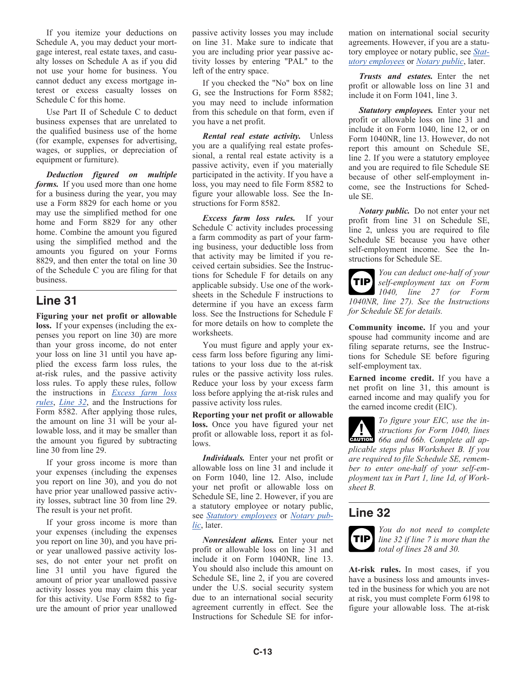<span id="page-12-0"></span>If you itemize your deductions on Schedule A, you may deduct your mortgage interest, real estate taxes, and casualty losses on Schedule A as if you did not use your home for business. You cannot deduct any excess mortgage interest or excess casualty losses on Schedule C for this home.

Use Part II of Schedule C to deduct business expenses that are unrelated to the qualified business use of the home (for example, expenses for advertising, wages, or supplies, or depreciation of equipment or furniture).

*Deduction figured on multiple forms.* If you used more than one home for a business during the year, you may use a Form 8829 for each home or you may use the simplified method for one home and Form 8829 for any other home. Combine the amount you figured using the simplified method and the amounts you figured on your Forms 8829, and then enter the total on line 30 of the Schedule C you are filing for that business.

#### **Line 31**

**Figuring your net profit or allowable loss.** If your expenses (including the expenses you report on line 30) are more than your gross income, do not enter your loss on line 31 until you have applied the excess farm loss rules, the at-risk rules, and the passive activity loss rules. To apply these rules, follow the instructions in *Excess farm loss rules*, *Line 32*, and the Instructions for Form 8582. After applying those rules, the amount on line 31 will be your allowable loss, and it may be smaller than the amount you figured by subtracting line 30 from line 29.

If your gross income is more than your expenses (including the expenses you report on line 30), and you do not have prior year unallowed passive activity losses, subtract line 30 from line 29. The result is your net profit.

If your gross income is more than your expenses (including the expenses you report on line 30), and you have prior year unallowed passive activity losses, do not enter your net profit on line 31 until you have figured the amount of prior year unallowed passive activity losses you may claim this year for this activity. Use Form 8582 to figure the amount of prior year unallowed passive activity losses you may include on line 31. Make sure to indicate that you are including prior year passive activity losses by entering "PAL" to the left of the entry space.

If you checked the "No" box on line G, see the Instructions for Form 8582; you may need to include information from this schedule on that form, even if you have a net profit.

*Rental real estate activity.* Unless you are a qualifying real estate professional, a rental real estate activity is a passive activity, even if you materially participated in the activity. If you have a loss, you may need to file Form 8582 to figure your allowable loss. See the Instructions for Form 8582.

*Excess farm loss rules.* If your Schedule C activity includes processing a farm commodity as part of your farming business, your deductible loss from that activity may be limited if you received certain subsidies. See the Instructions for Schedule F for details on any applicable subsidy. Use one of the worksheets in the Schedule F instructions to determine if you have an excess farm loss. See the Instructions for Schedule F for more details on how to complete the worksheets.

You must figure and apply your excess farm loss before figuring any limitations to your loss due to the at-risk rules or the passive activity loss rules. Reduce your loss by your excess farm loss before applying the at-risk rules and passive activity loss rules.

**Reporting your net profit or allowable loss.** Once you have figured your net profit or allowable loss, report it as follows.

*Individuals.* Enter your net profit or allowable loss on line 31 and include it on Form 1040, line 12. Also, include your net profit or allowable loss on Schedule SE, line 2. However, if you are a statutory employee or notary public, see *Statutory employees* or *Notary public*, later.

*Nonresident aliens.* Enter your net profit or allowable loss on line 31 and include it on Form 1040NR, line 13. You should also include this amount on Schedule SE, line 2, if you are covered under the U.S. social security system due to an international social security agreement currently in effect. See the Instructions for Schedule SE for information on international social security agreements. However, if you are a statutory employee or notary public, see *Statutory employees* or *Notary public*, later.

*Trusts and estates.* Enter the net profit or allowable loss on line 31 and include it on Form 1041, line 3.

*Statutory employees.* Enter your net profit or allowable loss on line 31 and include it on Form 1040, line 12, or on Form 1040NR, line 13. However, do not report this amount on Schedule SE, line 2. If you were a statutory employee and you are required to file Schedule SE because of other self-employment income, see the Instructions for Schedule SE.

*Notary public.* Do not enter your net profit from line 31 on Schedule SE, line 2, unless you are required to file Schedule SE because you have other self-employment income. See the Instructions for Schedule SE.

*You can deduct one-half of your self-employment tax on Form*  **TIP** *1040, line 27 (or Form 1040NR, line 27). See the Instructions for Schedule SE for details.*

**Community income.** If you and your spouse had community income and are filing separate returns, see the Instructions for Schedule SE before figuring self-employment tax.

**Earned income credit.** If you have a net profit on line 31, this amount is earned income and may qualify you for the earned income credit (EIC).



*To figure your EIC, use the instructions for Form 1040, lines*  **caution** 66a and 66b. Complete all ap*plicable steps plus Worksheet B. If you are required to file Schedule SE, remember to enter one-half of your self-employment tax in Part 1, line 1d, of Worksheet B.*

#### **Line 32**



*You do not need to complete line 32 if line 7 is more than the total of lines 28 and 30.*

**At-risk rules.** In most cases, if you have a business loss and amounts invested in the business for which you are not at risk, you must complete Form 6198 to figure your allowable loss. The at-risk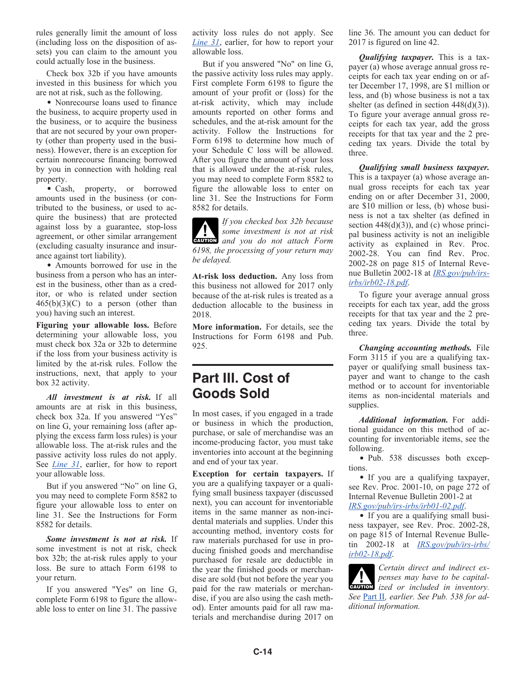<span id="page-13-0"></span>rules generally limit the amount of loss (including loss on the disposition of assets) you can claim to the amount you could actually lose in the business.

Check box 32b if you have amounts invested in this business for which you are not at risk, such as the following.

• Nonrecourse loans used to finance the business, to acquire property used in the business, or to acquire the business that are not secured by your own property (other than property used in the business). However, there is an exception for certain nonrecourse financing borrowed by you in connection with holding real property.

Cash, property, or borrowed amounts used in the business (or contributed to the business, or used to acquire the business) that are protected against loss by a guarantee, stop-loss agreement, or other similar arrangement (excluding casualty insurance and insurance against tort liability).

Amounts borrowed for use in the business from a person who has an interest in the business, other than as a creditor, or who is related under section  $465(b)(3)(C)$  to a person (other than you) having such an interest.

**Figuring your allowable loss.** Before determining your allowable loss, you must check box 32a or 32b to determine if the loss from your business activity is limited by the at-risk rules. Follow the instructions, next, that apply to your box 32 activity.

*All investment is at risk.* If all amounts are at risk in this business, check box 32a. If you answered "Yes" on line G, your remaining loss (after applying the excess farm loss rules) is your allowable loss. The at-risk rules and the passive activity loss rules do not apply. See *[Line 31](#page-12-0)*, earlier, for how to report your allowable loss.

But if you answered "No" on line G, you may need to complete Form 8582 to figure your allowable loss to enter on line 31. See the Instructions for Form 8582 for details.

*Some investment is not at risk.* If some investment is not at risk, check box 32b; the at-risk rules apply to your loss. Be sure to attach Form 6198 to your return.

If you answered "Yes" on line G, complete Form 6198 to figure the allowable loss to enter on line 31. The passive activity loss rules do not apply. See *[Line 31](#page-12-0)*, earlier, for how to report your allowable loss.

But if you answered "No" on line G, the passive activity loss rules may apply. First complete Form 6198 to figure the amount of your profit or (loss) for the at-risk activity, which may include amounts reported on other forms and schedules, and the at-risk amount for the activity. Follow the Instructions for Form 6198 to determine how much of your Schedule C loss will be allowed. After you figure the amount of your loss that is allowed under the at-risk rules, you may need to complete Form 8582 to figure the allowable loss to enter on line 31. See the Instructions for Form 8582 for details.

*If you checked box 32b because some investment is not at risk*  **CAUTION** and you do not attach Form *6198, the processing of your return may be delayed.*

**At-risk loss deduction.** Any loss from this business not allowed for 2017 only because of the at-risk rules is treated as a deduction allocable to the business in 2018.

**More information.** For details, see the Instructions for Form 6198 and Pub. 925.

# **Part III. Cost of Goods Sold**

In most cases, if you engaged in a trade or business in which the production, purchase, or sale of merchandise was an income-producing factor, you must take inventories into account at the beginning and end of your tax year.

**Exception for certain taxpayers.** If you are a qualifying taxpayer or a qualifying small business taxpayer (discussed next), you can account for inventoriable items in the same manner as non-incidental materials and supplies. Under this accounting method, inventory costs for raw materials purchased for use in producing finished goods and merchandise purchased for resale are deductible in the year the finished goods or merchandise are sold (but not before the year you paid for the raw materials or merchandise, if you are also using the cash method). Enter amounts paid for all raw materials and merchandise during 2017 on

line 36. The amount you can deduct for 2017 is figured on line 42.

*Qualifying taxpayer.* This is a taxpayer (a) whose average annual gross receipts for each tax year ending on or after December 17, 1998, are \$1 million or less, and (b) whose business is not a tax shelter (as defined in section 448(d)(3)). To figure your average annual gross receipts for each tax year, add the gross receipts for that tax year and the 2 preceding tax years. Divide the total by three.

*Qualifying small business taxpayer.*  This is a taxpayer (a) whose average annual gross receipts for each tax year ending on or after December 31, 2000, are \$10 million or less, (b) whose business is not a tax shelter (as defined in section  $448(d)(3)$ ), and (c) whose principal business activity is not an ineligible activity as explained in Rev. Proc. 2002-28. You can find Rev. Proc. 2002-28 on page 815 of Internal Revenue Bulletin 2002-18 at *[IRS.gov/pub/irs](https://www.irs.gov/pub/irs-irbs/irb02-18.pdf)[irbs/irb02-18.pdf](https://www.irs.gov/pub/irs-irbs/irb02-18.pdf)*.

To figure your average annual gross receipts for each tax year, add the gross receipts for that tax year and the 2 preceding tax years. Divide the total by three.

*Changing accounting methods.* File Form 3115 if you are a qualifying taxpayer or qualifying small business taxpayer and want to change to the cash method or to account for inventoriable items as non-incidental materials and supplies.

*Additional information.* For additional guidance on this method of accounting for inventoriable items, see the following.

Pub. 538 discusses both exceptions.

If you are a qualifying taxpayer, see Rev. Proc. 2001-10, on page 272 of Internal Revenue Bulletin 2001-2 at *[IRS.gov/pub/irs-irbs/irb01-02.pdf](https://www.irs.gov/pub/irs-irbs/irb01-02.pdf)*.

• If you are a qualifying small business taxpayer, see Rev. Proc. 2002-28, on page 815 of Internal Revenue Bulletin 2002-18 at *[IRS.gov/pub/irs-irbs/](https://www.irs.gov/pub/irs-irbs/irb02-18.pdf) [irb02-18.pdf](https://www.irs.gov/pub/irs-irbs/irb02-18.pdf)*.

*Certain direct and indirect expenses may have to be capital-***CAUTION** *ized or included in inventory. See* [Part II](#page-4-0)*, earlier. See Pub. 538 for additional information.*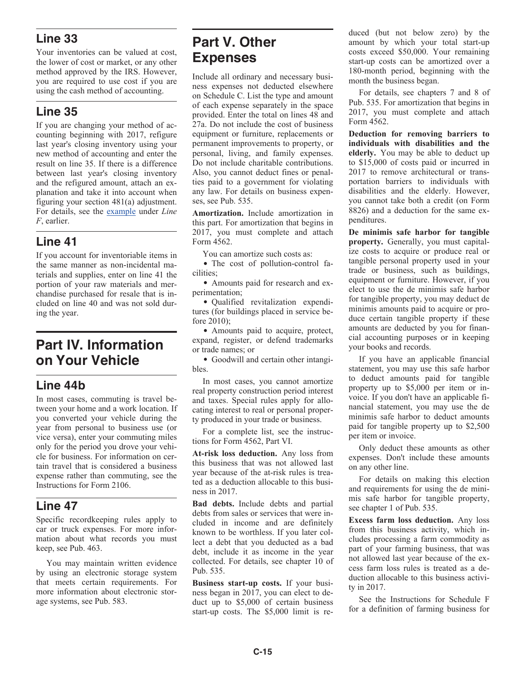#### **Line 33**

Your inventories can be valued at cost, the lower of cost or market, or any other method approved by the IRS. However, you are required to use cost if you are using the cash method of accounting.

### **Line 35**

If you are changing your method of accounting beginning with 2017, refigure last year's closing inventory using your new method of accounting and enter the result on line 35. If there is a difference between last year's closing inventory and the refigured amount, attach an explanation and take it into account when figuring your section 481(a) adjustment. For details, see the [example](#page-3-0) under *Line F*, earlier.

### **Line 41**

If you account for inventoriable items in the same manner as non-incidental materials and supplies, enter on line 41 the portion of your raw materials and merchandise purchased for resale that is included on line 40 and was not sold during the year.

# **Part IV. Information on Your Vehicle**

### **Line 44b**

In most cases, commuting is travel between your home and a work location. If you converted your vehicle during the year from personal to business use (or vice versa), enter your commuting miles only for the period you drove your vehicle for business. For information on certain travel that is considered a business expense rather than commuting, see the Instructions for Form 2106.

### **Line 47**

Specific recordkeeping rules apply to car or truck expenses. For more information about what records you must keep, see Pub. 463.

You may maintain written evidence by using an electronic storage system that meets certain requirements. For more information about electronic storage systems, see Pub. 583.

# **Part V. Other Expenses**

Include all ordinary and necessary business expenses not deducted elsewhere on Schedule C. List the type and amount of each expense separately in the space provided. Enter the total on lines 48 and 27a. Do not include the cost of business equipment or furniture, replacements or permanent improvements to property, or personal, living, and family expenses. Do not include charitable contributions. Also, you cannot deduct fines or penalties paid to a government for violating any law. For details on business expenses, see Pub. 535.

**Amortization.** Include amortization in this part. For amortization that begins in 2017, you must complete and attach Form 4562.

You can amortize such costs as:

The cost of pollution-control facilities;

Amounts paid for research and experimentation;

Qualified revitalization expenditures (for buildings placed in service before 2010);

Amounts paid to acquire, protect, expand, register, or defend trademarks or trade names; or

Goodwill and certain other intangibles.

In most cases, you cannot amortize real property construction period interest and taxes. Special rules apply for allocating interest to real or personal property produced in your trade or business.

For a complete list, see the instructions for Form 4562, Part VI.

**At-risk loss deduction.** Any loss from this business that was not allowed last year because of the at-risk rules is treated as a deduction allocable to this business in 2017.

**Bad debts.** Include debts and partial debts from sales or services that were included in income and are definitely known to be worthless. If you later collect a debt that you deducted as a bad debt, include it as income in the year collected. For details, see chapter 10 of Pub. 535.

**Business start-up costs.** If your business began in 2017, you can elect to deduct up to \$5,000 of certain business start-up costs. The \$5,000 limit is reduced (but not below zero) by the amount by which your total start-up costs exceed \$50,000. Your remaining start-up costs can be amortized over a 180-month period, beginning with the month the business began.

For details, see chapters 7 and 8 of Pub. 535. For amortization that begins in 2017, you must complete and attach Form 4562.

**Deduction for removing barriers to individuals with disabilities and the elderly.** You may be able to deduct up to \$15,000 of costs paid or incurred in 2017 to remove architectural or transportation barriers to individuals with disabilities and the elderly. However, you cannot take both a credit (on Form 8826) and a deduction for the same expenditures.

**De minimis safe harbor for tangible property.** Generally, you must capitalize costs to acquire or produce real or tangible personal property used in your trade or business, such as buildings, equipment or furniture. However, if you elect to use the de minimis safe harbor for tangible property, you may deduct de minimis amounts paid to acquire or produce certain tangible property if these amounts are deducted by you for financial accounting purposes or in keeping your books and records.

If you have an applicable financial statement, you may use this safe harbor to deduct amounts paid for tangible property up to \$5,000 per item or invoice. If you don't have an applicable financial statement, you may use the de minimis safe harbor to deduct amounts paid for tangible property up to \$2,500 per item or invoice.

Only deduct these amounts as other expenses. Don't include these amounts on any other line.

For details on making this election and requirements for using the de minimis safe harbor for tangible property, see chapter 1 of Pub. 535.

**Excess farm loss deduction.** Any loss from this business activity, which includes processing a farm commodity as part of your farming business, that was not allowed last year because of the excess farm loss rules is treated as a deduction allocable to this business activity in 2017.

See the Instructions for Schedule F for a definition of farming business for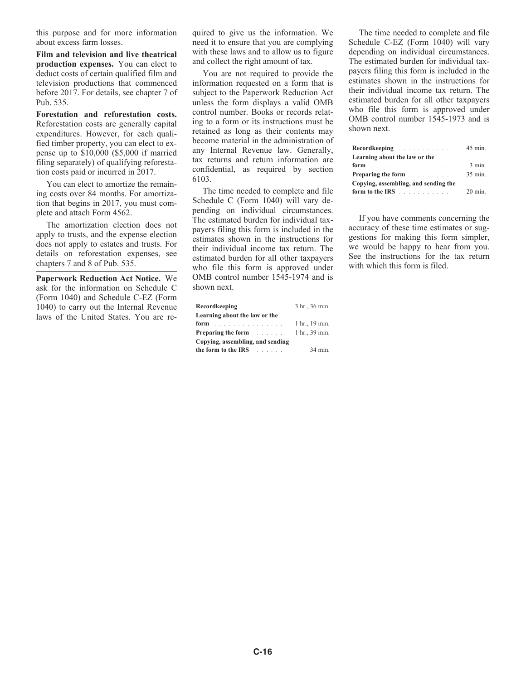this purpose and for more information about excess farm losses.

**Film and television and live theatrical production expenses.** You can elect to deduct costs of certain qualified film and television productions that commenced before 2017. For details, see chapter 7 of Pub. 535.

**Forestation and reforestation costs.**  Reforestation costs are generally capital expenditures. However, for each qualified timber property, you can elect to expense up to \$10,000 (\$5,000 if married filing separately) of qualifying reforestation costs paid or incurred in 2017.

You can elect to amortize the remaining costs over 84 months. For amortization that begins in 2017, you must complete and attach Form 4562.

The amortization election does not apply to trusts, and the expense election does not apply to estates and trusts. For details on reforestation expenses, see chapters 7 and 8 of Pub. 535.

**Paperwork Reduction Act Notice.** We ask for the information on Schedule C (Form 1040) and Schedule C-EZ (Form 1040) to carry out the Internal Revenue laws of the United States. You are required to give us the information. We need it to ensure that you are complying with these laws and to allow us to figure and collect the right amount of tax.

You are not required to provide the information requested on a form that is subject to the Paperwork Reduction Act unless the form displays a valid OMB control number. Books or records relating to a form or its instructions must be retained as long as their contents may become material in the administration of any Internal Revenue law. Generally, tax returns and return information are confidential, as required by section 6103.

The time needed to complete and file Schedule C (Form 1040) will vary depending on individual circumstances. The estimated burden for individual taxpayers filing this form is included in the estimates shown in the instructions for their individual income tax return. The estimated burden for all other taxpayers who file this form is approved under OMB control number 1545-1974 and is shown next.

| <b>Recordkeeping</b>                                              | 3 hr., 36 min. |
|-------------------------------------------------------------------|----------------|
| Learning about the law or the                                     |                |
| form the second contract of the second contract of $\mathbb{R}^n$ | 1 hr., 19 min. |
| <b>Preparing the form contract of the Preparing the form</b>      | 1 hr., 39 min. |
| Copying, assembling, and sending                                  |                |
| the form to the IRS $\ldots$ .                                    | 34 min.        |

The time needed to complete and file Schedule C-EZ (Form 1040) will vary depending on individual circumstances. The estimated burden for individual taxpayers filing this form is included in the estimates shown in the instructions for their individual income tax return. The estimated burden for all other taxpayers who file this form is approved under OMB control number 1545-1973 and is shown next.

| Recordkeeping                           | 45 min.            |
|-----------------------------------------|--------------------|
| Learning about the law or the           |                    |
| form $\alpha$                           | $3$ min.           |
| <b>Preparing the form <i>ration</i></b> | 35 min.            |
| Copying, assembling, and sending the    |                    |
| form to the IRS $\ldots$                | $20 \text{ min}$ . |

If you have comments concerning the accuracy of these time estimates or suggestions for making this form simpler, we would be happy to hear from you. See the instructions for the tax return with which this form is filed.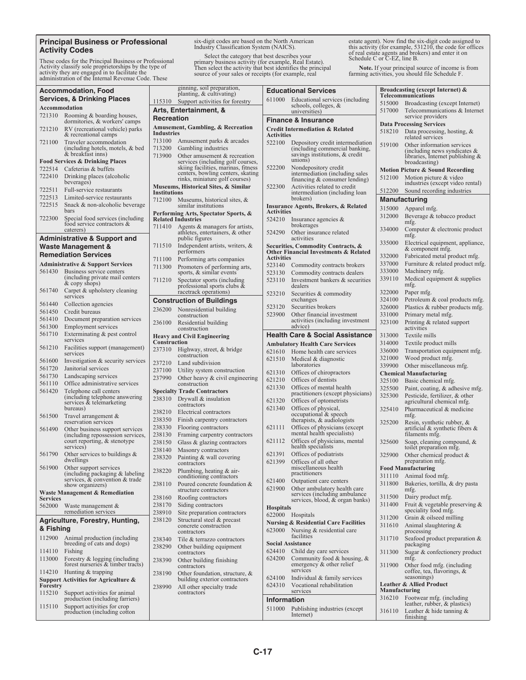#### <span id="page-16-0"></span>**Principal Business or Professional Activity Codes**

These codes for the Principal Business or Professional Activity classify sole proprietorships by the type of activity they are engaged in to facilitate the administration of the Internal Revenue Code. These

six-digit codes are based on the North American Industry Classification System (NAICS).

Select the category that best describes your<br>primary business activity (for example, Real Estate).<br>Then select the activity that best identifies the principal<br>source of your sales or receipts (for example, real

estate agent). Now find the six-digit code assigned to this activity (for example, 531210, the code for offices of real estate agents and brokers) and enter it on Schedule C or C-EZ, line B.

**Note.** If your principal source of income is from farming activities, you should file Schedule F.

| <b>Accommodation, Food</b>             |                                                                      | ginning, soil preparation,<br>planting, & cultivating) |                                                                          | <b>Educational Services</b>            | Broadcasting (except Internet) &<br><b>Telecommunications</b>                          |                  |                                                                 |
|----------------------------------------|----------------------------------------------------------------------|--------------------------------------------------------|--------------------------------------------------------------------------|----------------------------------------|----------------------------------------------------------------------------------------|------------------|-----------------------------------------------------------------|
| <b>Services, &amp; Drinking Places</b> |                                                                      |                                                        | 115310 Support activities for forestry                                   | 611000 Educational services (including |                                                                                        |                  | 515000 Broadcasting (except Internet)                           |
| Accommodation                          |                                                                      |                                                        | Arts, Entertainment, &                                                   |                                        | schools, colleges, $\&$<br>universities)                                               | 517000           | Telecommunications & Internet                                   |
|                                        | 721310 Rooming & boarding houses,<br>dormitories, & workers' camps   | <b>Recreation</b>                                      |                                                                          |                                        | <b>Finance &amp; Insurance</b>                                                         |                  | service providers                                               |
|                                        | 721210 RV (recreational vehicle) parks                               |                                                        | <b>Amusement, Gambling, &amp; Recreation</b>                             |                                        | <b>Credit Intermediation &amp; Related</b>                                             |                  | <b>Data Processing Services</b>                                 |
|                                        | & recreational camps                                                 | <b>Industries</b>                                      |                                                                          | <b>Activities</b>                      |                                                                                        | 518210           | Data processing, hosting, &<br>related services                 |
| 721100                                 | Traveler accommodation                                               |                                                        | 713100 Amusement parks & arcades                                         | 522100                                 | Depository credit intermediation                                                       | 519100           | Other information services                                      |
|                                        | (including hotels, motels, & bed<br>& breakfast inns)                | 713200<br>713900                                       | Gambling industries<br>Other amusement & recreation                      |                                        | (including commercial banking,<br>savings institutions, & credit                       |                  | (including news syndicates $\&$                                 |
|                                        | <b>Food Services &amp; Drinking Places</b>                           |                                                        | services (including golf courses,                                        |                                        | unions)                                                                                |                  | libraries, Internet publishing $\&$<br>broadcasting)            |
|                                        | 722514 Cafeterias & buffets                                          |                                                        | skiing facilities, marinas, fitness<br>centers, bowling centers, skating | 522200                                 | Nondepository credit<br>intermediation (including sales                                |                  | <b>Motion Picture &amp; Sound Recording</b>                     |
| 722410                                 | Drinking places (alcoholic<br>beverages)                             |                                                        | rinks, miniature golf courses)                                           |                                        | financing & consumer lending)                                                          | 512100           | Motion picture & video                                          |
|                                        | 722511 Full-service restaurants                                      |                                                        | Museums, Historical Sites, & Similar                                     | 522300                                 | Activities related to credit                                                           | 512200           | industries (except video rental)<br>Sound recording industries  |
|                                        | 722513 Limited-service restaurants                                   | <b>Institutions</b>                                    |                                                                          |                                        | intermediation (including loan<br>brokers)                                             |                  | <b>Manufacturing</b>                                            |
| 722515                                 | Snack & non-alcoholic beverage                                       |                                                        | 712100 Museums, historical sites, $&$<br>similar institutions            |                                        | <b>Insurance Agents, Brokers, &amp; Related</b>                                        |                  | 315000 Apparel mfg.                                             |
|                                        | bars                                                                 |                                                        | Performing Arts, Spectator Sports, &                                     | <b>Activities</b>                      |                                                                                        | 312000           | Beverage & tobacco product                                      |
| 722300                                 | Special food services (including<br>food service contractors &       |                                                        | <b>Related Industries</b>                                                | 524210                                 | Insurance agencies $\&$<br>brokerages                                                  |                  | mfg.                                                            |
|                                        | caterers)                                                            | 711410                                                 | Agents & managers for artists,<br>athletes, entertainers, & other        | 524290                                 | Other insurance related                                                                | 334000           | Computer & electronic product                                   |
|                                        | <b>Administrative &amp; Support and</b>                              |                                                        | public figures                                                           |                                        | activities                                                                             | 335000           | mfg.<br>Electrical equipment, appliance,                        |
|                                        | Waste Management &                                                   | 711510                                                 | Independent artists, writers, &<br>performers                            |                                        | Securities, Commodity Contracts, &<br><b>Other Financial Investments &amp; Related</b> |                  | & component mfg.                                                |
|                                        | <b>Remediation Services</b>                                          | 711100                                                 | Performing arts companies                                                | <b>Activities</b>                      |                                                                                        | 332000           | Fabricated metal product mfg.                                   |
|                                        | <b>Administrative &amp; Support Services</b>                         | 711300                                                 | Promoters of performing arts,                                            | 523140                                 | Commodity contracts brokers                                                            | 337000           | Furniture & related product mfg.                                |
| 561430                                 | Business service centers<br>(including private mail centers)         |                                                        | sports, & similar events                                                 | 523130                                 | Commodity contracts dealers                                                            | 333000           | Machinery mfg.                                                  |
|                                        | & copy shops)                                                        | 711210                                                 | Spectator sports (including<br>professional sports clubs $\&$            | 523110                                 | Investment bankers & securities<br>dealers                                             | 339110           | Medical equipment & supplies<br>mfg.                            |
| 561740                                 | Carpet & upholstery cleaning                                         |                                                        | racetrack operations)                                                    | 523210                                 | Securities & commodity                                                                 | 322000           | Paper mfg.                                                      |
| 561440                                 | services<br>Collection agencies                                      |                                                        | <b>Construction of Buildings</b>                                         |                                        | exchanges                                                                              | 324100           | Petroleum & coal products mfg.                                  |
| 561450                                 | Credit bureaus                                                       |                                                        | 236200 Nonresidential building                                           | 523120                                 | Securities brokers                                                                     | 326000           | Plastics & rubber products mfg.                                 |
| 561410                                 | Document preparation services                                        |                                                        | construction                                                             | 523900                                 | Other financial investment<br>activities (including investment                         | 331000<br>323100 | Primary metal mfg.<br>Printing & related support                |
| 561300                                 | <b>Employment services</b>                                           | 236100                                                 | Residential building<br>construction                                     |                                        | advice)                                                                                |                  | activities                                                      |
| 561710                                 | Exterminating & pest control                                         |                                                        | <b>Heavy and Civil Engineering</b>                                       |                                        | <b>Health Care &amp; Social Assistance</b>                                             |                  | 313000 Textile mills                                            |
| 561210                                 | services<br>Facilities support (management)                          | Construction                                           |                                                                          |                                        | <b>Ambulatory Health Care Services</b>                                                 | 314000           | Textile product mills                                           |
|                                        | services                                                             |                                                        | 237310 Highway, street, & bridge<br>construction                         |                                        | 621610 Home health care services                                                       | 336000           | Transportation equipment mfg.                                   |
| 561600                                 | Investigation & security services                                    | 237210                                                 | Land subdivision                                                         | 621510                                 | Medical & diagnostic<br>laboratories                                                   | 321000<br>339900 | Wood product mfg.<br>Other miscellaneous mfg.                   |
| 561720                                 | Janitorial services                                                  | 237100                                                 | Utility system construction                                              | 621310                                 | Offices of chiropractors                                                               |                  | <b>Chemical Manufacturing</b>                                   |
| 561730<br>561110                       | Landscaping services<br>Office administrative services               | 237990                                                 | Other heavy $&$ civil engineering<br>construction                        | 621210                                 | Offices of dentists                                                                    | 325100           | Basic chemical mfg.                                             |
| 561420                                 | Telephone call centers                                               |                                                        | <b>Specialty Trade Contractors</b>                                       | 621330                                 | Offices of mental health                                                               | 325500           | Paint, coating, & adhesive mfg.                                 |
|                                        | (including telephone answering                                       |                                                        | 238310 Drywall & insulation                                              | 621320                                 | practitioners (except physicians)<br>Offices of optometrists                           | 325300           | Pesticide, fertilizer, & other                                  |
|                                        | services $\&$ telemarketing<br>bureaus)                              |                                                        | contractors                                                              | 621340                                 | Offices of physical,                                                                   | 325410           | agricultural chemical mfg.<br>Pharmaceutical & medicine         |
| 561500                                 | Travel arrangement &                                                 |                                                        | 238210 Electrical contractors                                            |                                        | occupational & speech                                                                  |                  | mfg.                                                            |
|                                        | reservation services                                                 | 238350<br>238330                                       | Finish carpentry contractors<br>Flooring contractors                     | 621111                                 | therapists, $\&$ audiologists<br>Offices of physicians (except                         | 325200           | Resin, synthetic rubber, &                                      |
| 561490                                 | Other business support services<br>(including repossession services, |                                                        | 238130 Framing carpentry contractors                                     |                                        | mental health specialists)                                                             |                  | artificial $\&$ synthetic fibers $\&$<br>filaments mfg.         |
|                                        | court reporting, & stenotype                                         | 238150                                                 | Glass & glazing contractors                                              | 621112                                 | Offices of physicians, mental                                                          | 325600           | Soap, cleaning compound, &                                      |
| 561790                                 | services)<br>Other services to buildings &                           | 238140                                                 | Masonry contractors                                                      | 621391                                 | health specialists<br>Offices of podiatrists                                           |                  | toilet preparation mfg.                                         |
|                                        | dwellings                                                            | 238320                                                 | Painting & wall covering                                                 | 621399                                 | Offices of all other                                                                   | 325900           | Other chemical product $&$<br>preparation mfg.                  |
|                                        | 561900 Other support services                                        |                                                        | contractors<br>238220 Plumbing, heating & air-                           |                                        | miscellaneous health                                                                   |                  | <b>Food Manufacturing</b>                                       |
|                                        | (including packaging & labeling<br>services, & convention & trade    |                                                        | conditioning contractors                                                 | 621400                                 | practitioners<br>Outpatient care centers                                               |                  | 311110 Animal food mfg.                                         |
|                                        | show organizers)                                                     | 238110                                                 | Poured concrete foundation &                                             | 621900                                 | Other ambulatory health care                                                           | 311800           | Bakeries, tortilla, & dry pasta<br>mfg.                         |
|                                        | <b>Waste Management &amp; Remediation</b>                            | 238160                                                 | structure contractors<br>Roofing contractors                             |                                        | services (including ambulance                                                          | 311500           | Dairy product mfg.                                              |
| <b>Services</b>                        | 562000 Waste management &                                            | 238170                                                 | Siding contractors                                                       |                                        | services, blood, & organ banks)                                                        | 311400           | Fruit & vegetable preserving $&$                                |
|                                        | remediation services                                                 | 238910                                                 | Site preparation contractors                                             | <b>Hospitals</b>                       | 622000 Hospitals                                                                       |                  | speciality food mfg.                                            |
|                                        | Agriculture, Forestry, Hunting,                                      | 238120                                                 | Structural steel & precast                                               |                                        | <b>Nursing &amp; Residential Care Facilities</b>                                       | 311200           | Grain & oilseed milling<br>Animal slaughtering $&$              |
| & Fishing                              |                                                                      |                                                        | concrete construction<br>contractors                                     |                                        | $623000$ Nursing & residential care                                                    | 311610           | processing                                                      |
|                                        | 112900 Animal production (including                                  | 238340                                                 | Tile & terrazzo contractors                                              |                                        | facilities                                                                             | 311710           | Seafood product preparation &                                   |
| 114110 Fishing                         | breeding of cats and dogs)                                           | 238290                                                 | Other building equipment                                                 | 624410                                 | <b>Social Assistance</b><br>Child day care services                                    |                  | packaging                                                       |
|                                        | 113000 Forestry & logging (including                                 |                                                        | contractors                                                              | 624200                                 | Community food & housing, &                                                            | 311300           | Sugar & confectionery product<br>mfg.                           |
|                                        | forest nurseries & timber tracts)                                    | 238390                                                 | Other building finishing<br>contractors                                  |                                        | emergency & other relief                                                               | 311900           | Other food mfg. (including                                      |
|                                        | 114210 Hunting & trapping                                            | 238190                                                 | Other foundation, structure, &                                           |                                        | services                                                                               |                  | coffee, tea, flavorings, $\&$<br>seasonings)                    |
| Forestry                               | Support Activities for Agriculture &                                 |                                                        | building exterior contractors                                            | 624310                                 | 624100 Individual & family services<br>Vocational rehabilitation                       |                  | <b>Leather &amp; Allied Product</b>                             |
|                                        | 115210 Support activities for animal                                 | 238990                                                 | All other specialty trade<br>contractors                                 |                                        | services                                                                               | Manufacturing    |                                                                 |
|                                        | production (including farriers)                                      |                                                        |                                                                          | <b>Information</b>                     |                                                                                        |                  | 316210 Footwear mfg. (including<br>leather, rubber, & plastics) |
| 115110                                 | Support activities for crop<br>production (including cotton)         |                                                        |                                                                          | 511000                                 | Publishing industries (except                                                          | 316110           | Leather & hide tanning $\&$                                     |
|                                        |                                                                      |                                                        |                                                                          |                                        | Internet)                                                                              |                  | finishing                                                       |